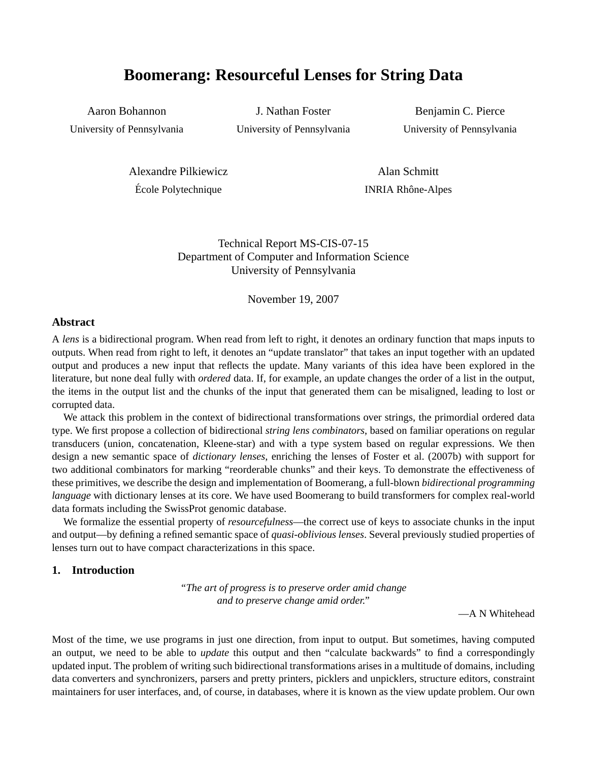# **Boomerang: Resourceful Lenses for String Data**

Aaron Bohannon University of Pennsylvania

J. Nathan Foster University of Pennsylvania

Benjamin C. Pierce University of Pennsylvania

Alexandre Pilkiewicz Ecole Polytechnique ´

Alan Schmitt INRIA Rhône-Alpes

Technical Report MS-CIS-07-15 Department of Computer and Information Science University of Pennsylvania

November 19, 2007

# **Abstract**

A *lens* is a bidirectional program. When read from left to right, it denotes an ordinary function that maps inputs to outputs. When read from right to left, it denotes an "update translator" that takes an input together with an updated output and produces a new input that reflects the update. Many variants of this idea have been explored in the literature, but none deal fully with *ordered* data. If, for example, an update changes the order of a list in the output, the items in the output list and the chunks of the input that generated them can be misaligned, leading to lost or corrupted data.

We attack this problem in the context of bidirectional transformations over strings, the primordial ordered data type. We first propose a collection of bidirectional *string lens combinators*, based on familiar operations on regular transducers (union, concatenation, Kleene-star) and with a type system based on regular expressions. We then design a new semantic space of *dictionary lenses*, enriching the lenses of Foster et al. (2007b) with support for two additional combinators for marking "reorderable chunks" and their keys. To demonstrate the effectiveness of these primitives, we describe the design and implementation of Boomerang, a full-blown *bidirectional programming language* with dictionary lenses at its core. We have used Boomerang to build transformers for complex real-world data formats including the SwissProt genomic database.

We formalize the essential property of *resourcefulness*—the correct use of keys to associate chunks in the input and output—by defining a refined semantic space of *quasi-oblivious lenses*. Several previously studied properties of lenses turn out to have compact characterizations in this space.

# **1. Introduction**

*"The art of progress is to preserve order amid change and to preserve change amid order."*

—A N Whitehead

Most of the time, we use programs in just one direction, from input to output. But sometimes, having computed an output, we need to be able to *update* this output and then "calculate backwards" to find a correspondingly updated input. The problem of writing such bidirectional transformations arises in a multitude of domains, including data converters and synchronizers, parsers and pretty printers, picklers and unpicklers, structure editors, constraint maintainers for user interfaces, and, of course, in databases, where it is known as the view update problem. Our own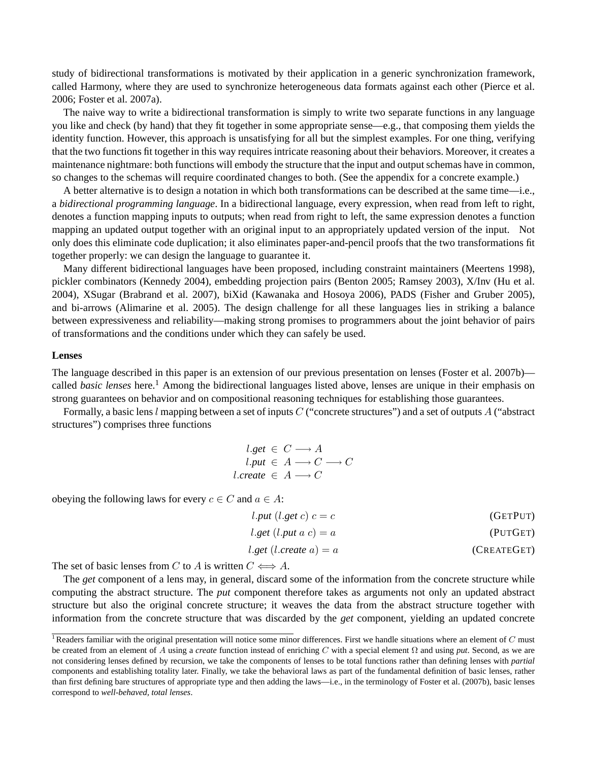study of bidirectional transformations is motivated by their application in a generic synchronization framework, called Harmony, where they are used to synchronize heterogeneous data formats against each other (Pierce et al. 2006; Foster et al. 2007a).

The naive way to write a bidirectional transformation is simply to write two separate functions in any language you like and check (by hand) that they fit together in some appropriate sense—e.g., that composing them yields the identity function. However, this approach is unsatisfying for all but the simplest examples. For one thing, verifying that the two functions fit together in this way requires intricate reasoning about their behaviors. Moreover, it creates a maintenance nightmare: both functions will embody the structure that the input and output schemas have in common, so changes to the schemas will require coordinated changes to both. (See the appendix for a concrete example.)

A better alternative is to design a notation in which both transformations can be described at the same time—i.e., a *bidirectional programming language*. In a bidirectional language, every expression, when read from left to right, denotes a function mapping inputs to outputs; when read from right to left, the same expression denotes a function mapping an updated output together with an original input to an appropriately updated version of the input. Not only does this eliminate code duplication; it also eliminates paper-and-pencil proofs that the two transformations fit together properly: we can design the language to guarantee it.

Many different bidirectional languages have been proposed, including constraint maintainers (Meertens 1998), pickler combinators (Kennedy 2004), embedding projection pairs (Benton 2005; Ramsey 2003), X/Inv (Hu et al. 2004), XSugar (Brabrand et al. 2007), biXid (Kawanaka and Hosoya 2006), PADS (Fisher and Gruber 2005), and bi-arrows (Alimarine et al. 2005). The design challenge for all these languages lies in striking a balance between expressiveness and reliability—making strong promises to programmers about the joint behavior of pairs of transformations and the conditions under which they can safely be used.

#### **Lenses**

The language described in this paper is an extension of our previous presentation on lenses (Foster et al. 2007b) called *basic lenses* here.<sup>1</sup> Among the bidirectional languages listed above, lenses are unique in their emphasis on strong guarantees on behavior and on compositional reasoning techniques for establishing those guarantees.

Formally, a basic lens  $l$  mapping between a set of inputs  $C$  ("concrete structures") and a set of outputs  $A$  ("abstract structures") comprises three functions

$$
l.get \in C \longrightarrow A
$$
  

$$
l.put \in A \longrightarrow C \longrightarrow C
$$
  

$$
l.create \in A \longrightarrow C
$$

obeying the following laws for every  $c \in C$  and  $a \in A$ :

| l.put (l.get c) $c = c$  | (GETPUT)    |
|--------------------------|-------------|
| l.get (l.put $a c$ ) = a | (PUTGET)    |
| l.get (l.create $a) = a$ | (CREATEGET) |

The set of basic lenses from C to A is written  $C \Longleftrightarrow A$ .

The *get* component of a lens may, in general, discard some of the information from the concrete structure while computing the abstract structure. The *put* component therefore takes as arguments not only an updated abstract structure but also the original concrete structure; it weaves the data from the abstract structure together with information from the concrete structure that was discarded by the *get* component, yielding an updated concrete

<sup>&</sup>lt;sup>1</sup> Readers familiar with the original presentation will notice some minor differences. First we handle situations where an element of  $C$  must be created from an element of A using a *create* function instead of enriching C with a special element Ω and using *put*. Second, as we are not considering lenses defined by recursion, we take the components of lenses to be total functions rather than defining lenses with *partial* components and establishing totality later. Finally, we take the behavioral laws as part of the fundamental definition of basic lenses, rather than first defining bare structures of appropriate type and then adding the laws—i.e., in the terminology of Foster et al. (2007b), basic lenses correspond to *well-behaved, total lenses*.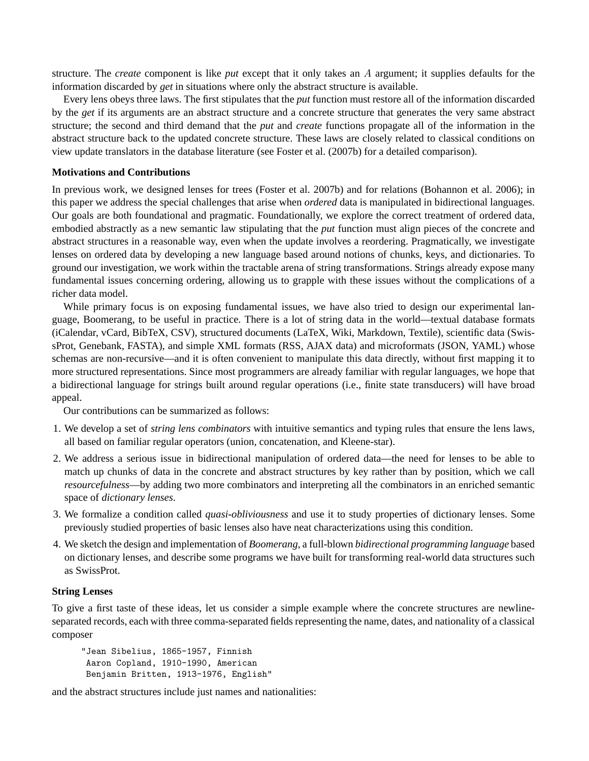structure. The *create* component is like *put* except that it only takes an A argument; it supplies defaults for the information discarded by *get* in situations where only the abstract structure is available.

Every lens obeys three laws. The first stipulates that the *put* function must restore all of the information discarded by the *get* if its arguments are an abstract structure and a concrete structure that generates the very same abstract structure; the second and third demand that the *put* and *create* functions propagate all of the information in the abstract structure back to the updated concrete structure. These laws are closely related to classical conditions on view update translators in the database literature (see Foster et al. (2007b) for a detailed comparison).

#### **Motivations and Contributions**

In previous work, we designed lenses for trees (Foster et al. 2007b) and for relations (Bohannon et al. 2006); in this paper we address the special challenges that arise when *ordered* data is manipulated in bidirectional languages. Our goals are both foundational and pragmatic. Foundationally, we explore the correct treatment of ordered data, embodied abstractly as a new semantic law stipulating that the *put* function must align pieces of the concrete and abstract structures in a reasonable way, even when the update involves a reordering. Pragmatically, we investigate lenses on ordered data by developing a new language based around notions of chunks, keys, and dictionaries. To ground our investigation, we work within the tractable arena of string transformations. Strings already expose many fundamental issues concerning ordering, allowing us to grapple with these issues without the complications of a richer data model.

While primary focus is on exposing fundamental issues, we have also tried to design our experimental language, Boomerang, to be useful in practice. There is a lot of string data in the world—textual database formats (iCalendar, vCard, BibTeX, CSV), structured documents (LaTeX, Wiki, Markdown, Textile), scientific data (SwissProt, Genebank, FASTA), and simple XML formats (RSS, AJAX data) and microformats (JSON, YAML) whose schemas are non-recursive—and it is often convenient to manipulate this data directly, without first mapping it to more structured representations. Since most programmers are already familiar with regular languages, we hope that a bidirectional language for strings built around regular operations (i.e., finite state transducers) will have broad appeal.

Our contributions can be summarized as follows:

- 1. We develop a set of *string lens combinators* with intuitive semantics and typing rules that ensure the lens laws, all based on familiar regular operators (union, concatenation, and Kleene-star).
- 2. We address a serious issue in bidirectional manipulation of ordered data—the need for lenses to be able to match up chunks of data in the concrete and abstract structures by key rather than by position, which we call *resourcefulness*—by adding two more combinators and interpreting all the combinators in an enriched semantic space of *dictionary lenses*.
- 3. We formalize a condition called *quasi-obliviousness* and use it to study properties of dictionary lenses. Some previously studied properties of basic lenses also have neat characterizations using this condition.
- 4. We sketch the design and implementation of *Boomerang*, a full-blown *bidirectional programming language* based on dictionary lenses, and describe some programs we have built for transforming real-world data structures such as SwissProt.

# **String Lenses**

To give a first taste of these ideas, let us consider a simple example where the concrete structures are newlineseparated records, each with three comma-separated fields representing the name, dates, and nationality of a classical composer

"Jean Sibelius, 1865-1957, Finnish Aaron Copland, 1910-1990, American Benjamin Britten, 1913-1976, English"

and the abstract structures include just names and nationalities: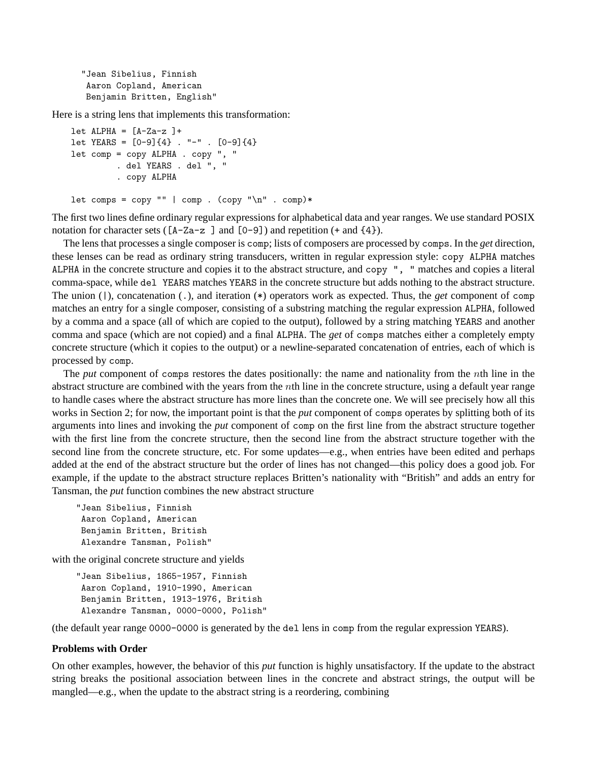```
"Jean Sibelius, Finnish
Aaron Copland, American
Benjamin Britten, English"
```
Here is a string lens that implements this transformation:

```
let ALPHA = [A-Za-z]+
let YEARS = [0-9]{4}. "-" . [0-9]{4}let comp = copy ALPHA . copy ", "
         . del YEARS . del ", "
         . copy ALPHA
```
let comps = copy "" | comp . (copy "\n" . comp)\*

The first two lines define ordinary regular expressions for alphabetical data and year ranges. We use standard POSIX notation for character sets ( $[A-Za-z]$  and  $[0-9]$ ) and repetition (+ and  $\{4\}$ ).

The lens that processes a single composer is comp; lists of composers are processed by comps. In the *get* direction, these lenses can be read as ordinary string transducers, written in regular expression style: copy ALPHA matches ALPHA in the concrete structure and copies it to the abstract structure, and copy ", " matches and copies a literal comma-space, while del YEARS matches YEARS in the concrete structure but adds nothing to the abstract structure. The union (1), concatenation (.), and iteration (\*) operators work as expected. Thus, the *get* component of comp matches an entry for a single composer, consisting of a substring matching the regular expression ALPHA, followed by a comma and a space (all of which are copied to the output), followed by a string matching YEARS and another comma and space (which are not copied) and a final ALPHA. The *get* of comps matches either a completely empty concrete structure (which it copies to the output) or a newline-separated concatenation of entries, each of which is processed by comp.

The *put* component of comps restores the dates positionally: the name and nationality from the nth line in the abstract structure are combined with the years from the nth line in the concrete structure, using a default year range to handle cases where the abstract structure has more lines than the concrete one. We will see precisely how all this works in Section 2; for now, the important point is that the *put* component of comps operates by splitting both of its arguments into lines and invoking the *put* component of comp on the first line from the abstract structure together with the first line from the concrete structure, then the second line from the abstract structure together with the second line from the concrete structure, etc. For some updates—e.g., when entries have been edited and perhaps added at the end of the abstract structure but the order of lines has not changed—this policy does a good job. For example, if the update to the abstract structure replaces Britten's nationality with "British" and adds an entry for Tansman, the *put* function combines the new abstract structure

"Jean Sibelius, Finnish Aaron Copland, American Benjamin Britten, British Alexandre Tansman, Polish"

with the original concrete structure and yields

"Jean Sibelius, 1865-1957, Finnish Aaron Copland, 1910-1990, American Benjamin Britten, 1913-1976, British Alexandre Tansman, 0000-0000, Polish"

(the default year range 0000-0000 is generated by the del lens in comp from the regular expression YEARS).

# **Problems with Order**

On other examples, however, the behavior of this *put* function is highly unsatisfactory. If the update to the abstract string breaks the positional association between lines in the concrete and abstract strings, the output will be mangled—e.g., when the update to the abstract string is a reordering, combining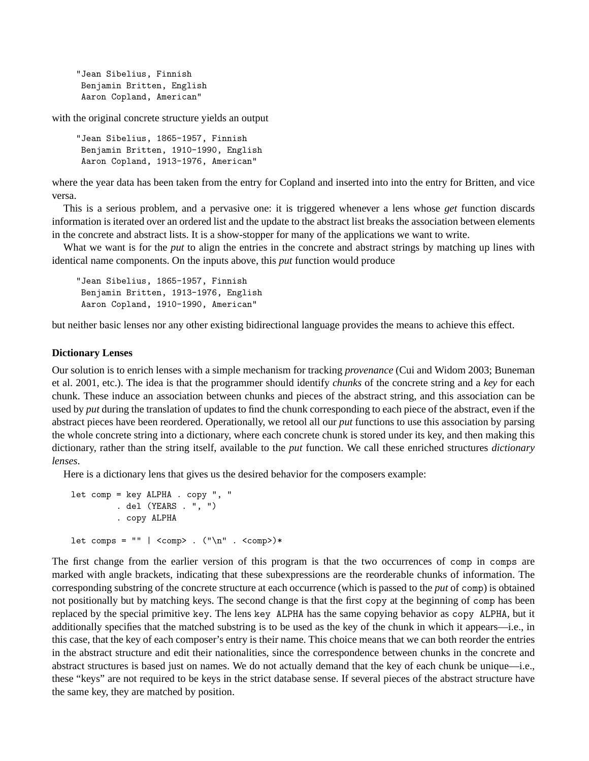```
"Jean Sibelius, Finnish
Benjamin Britten, English
Aaron Copland, American"
```
with the original concrete structure yields an output

```
"Jean Sibelius, 1865-1957, Finnish
Benjamin Britten, 1910-1990, English
Aaron Copland, 1913-1976, American"
```
where the year data has been taken from the entry for Copland and inserted into into the entry for Britten, and vice versa.

This is a serious problem, and a pervasive one: it is triggered whenever a lens whose *get* function discards information is iterated over an ordered list and the update to the abstract list breaks the association between elements in the concrete and abstract lists. It is a show-stopper for many of the applications we want to write.

What we want is for the *put* to align the entries in the concrete and abstract strings by matching up lines with identical name components. On the inputs above, this *put* function would produce

"Jean Sibelius, 1865-1957, Finnish Benjamin Britten, 1913-1976, English Aaron Copland, 1910-1990, American"

but neither basic lenses nor any other existing bidirectional language provides the means to achieve this effect.

# **Dictionary Lenses**

Our solution is to enrich lenses with a simple mechanism for tracking *provenance* (Cui and Widom 2003; Buneman et al. 2001, etc.). The idea is that the programmer should identify *chunks* of the concrete string and a *key* for each chunk. These induce an association between chunks and pieces of the abstract string, and this association can be used by *put* during the translation of updates to find the chunk corresponding to each piece of the abstract, even if the abstract pieces have been reordered. Operationally, we retool all our *put* functions to use this association by parsing the whole concrete string into a dictionary, where each concrete chunk is stored under its key, and then making this dictionary, rather than the string itself, available to the *put* function. We call these enriched structures *dictionary lenses*.

Here is a dictionary lens that gives us the desired behavior for the composers example:

```
let comp = key ALPHA . copy ", "
           . del (YEARS . ", ")
           . copy ALPHA
let comps = "" | \langlecomp> . (\n\cdot\ n\cdot \langle \cdot \rangle)^*
```
The first change from the earlier version of this program is that the two occurrences of comp in comps are marked with angle brackets, indicating that these subexpressions are the reorderable chunks of information. The corresponding substring of the concrete structure at each occurrence (which is passed to the *put* of comp) is obtained not positionally but by matching keys. The second change is that the first copy at the beginning of comp has been replaced by the special primitive key. The lens key ALPHA has the same copying behavior as copy ALPHA, but it additionally specifies that the matched substring is to be used as the key of the chunk in which it appears—i.e., in this case, that the key of each composer's entry is their name. This choice means that we can both reorder the entries in the abstract structure and edit their nationalities, since the correspondence between chunks in the concrete and abstract structures is based just on names. We do not actually demand that the key of each chunk be unique—i.e., these "keys" are not required to be keys in the strict database sense. If several pieces of the abstract structure have the same key, they are matched by position.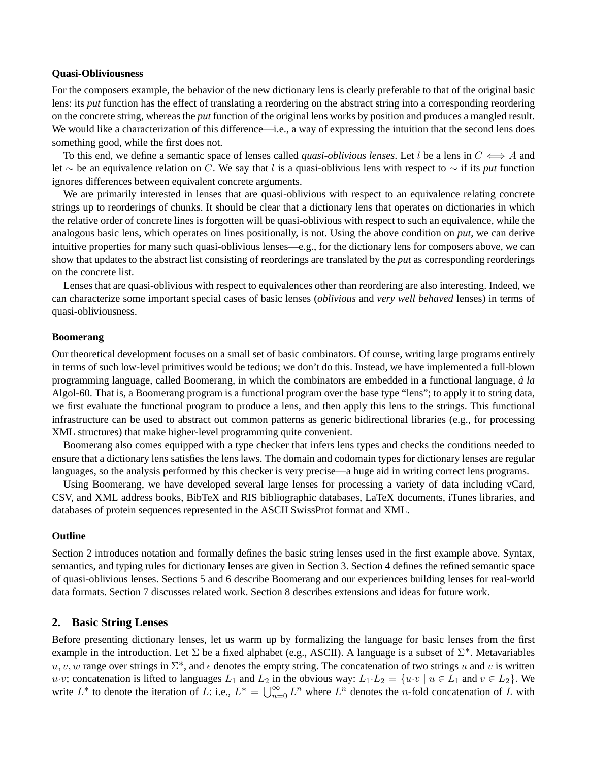# **Quasi-Obliviousness**

For the composers example, the behavior of the new dictionary lens is clearly preferable to that of the original basic lens: its *put* function has the effect of translating a reordering on the abstract string into a corresponding reordering on the concrete string, whereas the *put* function of the original lens works by position and produces a mangled result. We would like a characterization of this difference—i.e., a way of expressing the intuition that the second lens does something good, while the first does not.

To this end, we define a semantic space of lenses called *quasi-oblivious lenses*. Let l be a lens in  $C \iff A$  and let ∼ be an equivalence relation on C. We say that l is a quasi-oblivious lens with respect to ∼ if its *put* function ignores differences between equivalent concrete arguments.

We are primarily interested in lenses that are quasi-oblivious with respect to an equivalence relating concrete strings up to reorderings of chunks. It should be clear that a dictionary lens that operates on dictionaries in which the relative order of concrete lines is forgotten will be quasi-oblivious with respect to such an equivalence, while the analogous basic lens, which operates on lines positionally, is not. Using the above condition on *put*, we can derive intuitive properties for many such quasi-oblivious lenses—e.g., for the dictionary lens for composers above, we can show that updates to the abstract list consisting of reorderings are translated by the *put* as corresponding reorderings on the concrete list.

Lenses that are quasi-oblivious with respect to equivalences other than reordering are also interesting. Indeed, we can characterize some important special cases of basic lenses (*oblivious* and *very well behaved* lenses) in terms of quasi-obliviousness.

## **Boomerang**

Our theoretical development focuses on a small set of basic combinators. Of course, writing large programs entirely in terms of such low-level primitives would be tedious; we don't do this. Instead, we have implemented a full-blown programming language, called Boomerang, in which the combinators are embedded in a functional language, *a la `* Algol-60. That is, a Boomerang program is a functional program over the base type "lens"; to apply it to string data, we first evaluate the functional program to produce a lens, and then apply this lens to the strings. This functional infrastructure can be used to abstract out common patterns as generic bidirectional libraries (e.g., for processing XML structures) that make higher-level programming quite convenient.

Boomerang also comes equipped with a type checker that infers lens types and checks the conditions needed to ensure that a dictionary lens satisfies the lens laws. The domain and codomain types for dictionary lenses are regular languages, so the analysis performed by this checker is very precise—a huge aid in writing correct lens programs.

Using Boomerang, we have developed several large lenses for processing a variety of data including vCard, CSV, and XML address books, BibTeX and RIS bibliographic databases, LaTeX documents, iTunes libraries, and databases of protein sequences represented in the ASCII SwissProt format and XML.

## **Outline**

Section 2 introduces notation and formally defines the basic string lenses used in the first example above. Syntax, semantics, and typing rules for dictionary lenses are given in Section 3. Section 4 defines the refined semantic space of quasi-oblivious lenses. Sections 5 and 6 describe Boomerang and our experiences building lenses for real-world data formats. Section 7 discusses related work. Section 8 describes extensions and ideas for future work.

# **2. Basic String Lenses**

Before presenting dictionary lenses, let us warm up by formalizing the language for basic lenses from the first example in the introduction. Let  $\Sigma$  be a fixed alphabet (e.g., ASCII). A language is a subset of  $\Sigma^*$ . Metavariables  $u, v, w$  range over strings in  $\Sigma^*$ , and  $\epsilon$  denotes the empty string. The concatenation of two strings u and v is written u·v; concatenation is lifted to languages  $L_1$  and  $L_2$  in the obvious way:  $L_1 \cdot L_2 = \{u \cdot v \mid u \in L_1 \text{ and } v \in L_2\}$ . We write  $L^*$  to denote the iteration of L: i.e.,  $L^* = \bigcup_{n=0}^{\infty} L^n$  where  $L^n$  denotes the *n*-fold concatenation of L with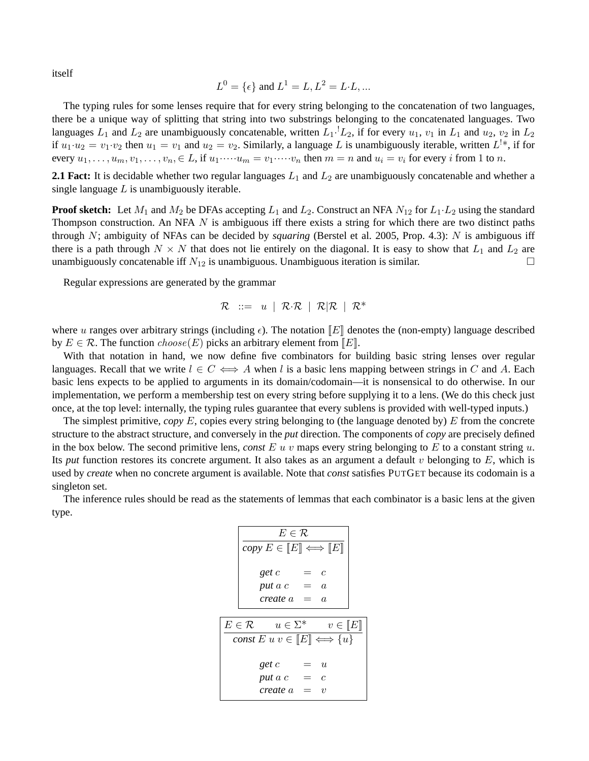itself

$$
L^0 = \{ \epsilon \} \text{ and } L^1 = L, L^2 = L \cdot L, \dots
$$

The typing rules for some lenses require that for every string belonging to the concatenation of two languages, there be a unique way of splitting that string into two substrings belonging to the concatenated languages. Two languages  $L_1$  and  $L_2$  are unambiguously concatenable, written  $L_1$   $^!L_2$ , if for every  $u_1$ ,  $v_1$  in  $L_1$  and  $u_2$ ,  $v_2$  in  $L_2$ if  $u_1 \cdot u_2 = v_1 \cdot v_2$  then  $u_1 = v_1$  and  $u_2 = v_2$ . Similarly, a language L is unambiguously iterable, written  $L^{1*}$ , if for every  $u_1, \ldots, u_m, v_1, \ldots, v_n \in L$ , if  $u_1 \cdots u_m = v_1 \cdots v_n$  then  $m = n$  and  $u_i = v_i$  for every i from 1 to n.

**2.1 Fact:** It is decidable whether two regular languages  $L_1$  and  $L_2$  are unambiguously concatenable and whether a single language  $L$  is unambiguously iterable.

**Proof sketch:** Let  $M_1$  and  $M_2$  be DFAs accepting  $L_1$  and  $L_2$ . Construct an NFA  $N_{12}$  for  $L_1 \cdot L_2$  using the standard Thompson construction. An NFA  $N$  is ambiguous iff there exists a string for which there are two distinct paths through N; ambiguity of NFAs can be decided by *squaring* (Berstel et al. 2005, Prop. 4.3): N is ambiguous iff there is a path through  $N \times N$  that does not lie entirely on the diagonal. It is easy to show that  $L_1$  and  $L_2$  are unambiguously concatenable iff  $N_{12}$  is unambiguous. Unambiguous iteration is similar.

Regular expressions are generated by the grammar

$$
\mathcal{R} \ ::= \ u \ | \ \mathcal{R} \cdot \mathcal{R} \ | \ \mathcal{R} | \mathcal{R} \ | \ \mathcal{R}^*
$$

where u ranges over arbitrary strings (including  $\epsilon$ ). The notation  $\llbracket E \rrbracket$  denotes the (non-empty) language described by  $E \in \mathcal{R}$ . The function  $choose(E)$  picks an arbitrary element from  $\llbracket E \rrbracket$ .

With that notation in hand, we now define five combinators for building basic string lenses over regular languages. Recall that we write  $l \in C \iff A$  when l is a basic lens mapping between strings in C and A. Each basic lens expects to be applied to arguments in its domain/codomain—it is nonsensical to do otherwise. In our implementation, we perform a membership test on every string before supplying it to a lens. (We do this check just once, at the top level: internally, the typing rules guarantee that every sublens is provided with well-typed inputs.)

The simplest primitive, *copy* E, copies every string belonging to (the language denoted by) E from the concrete structure to the abstract structure, and conversely in the *put* direction. The components of *copy* are precisely defined in the box below. The second primitive lens, *const*  $E u v$  maps every string belonging to  $E$  to a constant string  $u$ . Its *put* function restores its concrete argument. It also takes as an argument a default v belonging to E, which is used by *create* when no concrete argument is available. Note that *const* satisfies PUTGET because its codomain is a singleton set.

The inference rules should be read as the statements of lemmas that each combinator is a basic lens at the given type.

|                     | $E \in \mathcal{R}$<br>$copy E \in \boxed{E} \Longleftrightarrow \boxed{E}$ |     |                                                                                    |  |
|---------------------|-----------------------------------------------------------------------------|-----|------------------------------------------------------------------------------------|--|
|                     | get c<br>put $a c$<br>create a                                              | $=$ | C<br>$\overline{a}$<br>$\alpha$                                                    |  |
| $E \in \mathcal{R}$ | $u \in \Sigma^*$                                                            |     | $v \in \llbracket E \rrbracket$<br>const E u $v \in [E] \Longleftrightarrow \{u\}$ |  |
|                     | get c                                                                       |     | $\mathfrak{u}$                                                                     |  |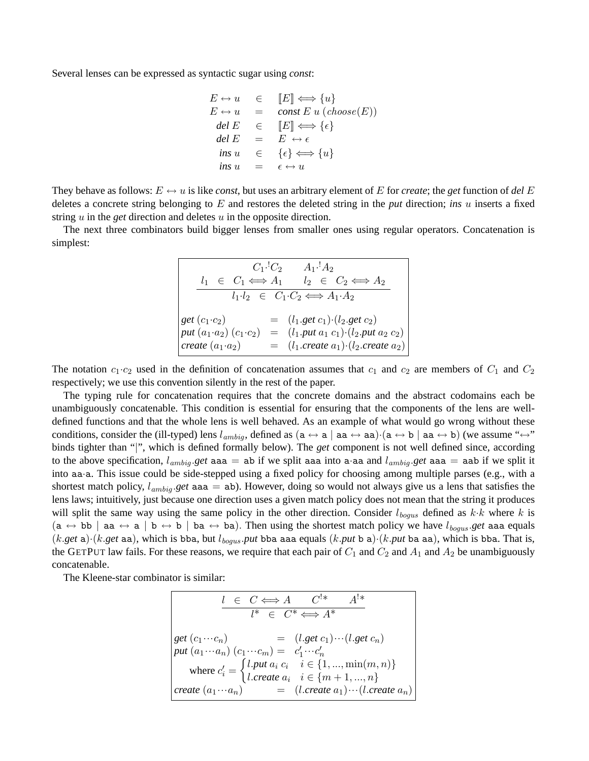Several lenses can be expressed as syntactic sugar using *const*:

$$
E \leftrightarrow u \in [E] \iff \{u\}
$$
  
\n
$$
E \leftrightarrow u = \text{const } E \ u \ (\text{choose } E)
$$
  
\n
$$
\text{del } E \in [E] \iff \{\epsilon\}
$$
  
\n
$$
\text{del } E = E \leftrightarrow \epsilon
$$
  
\n
$$
\text{ins } u \in \{\epsilon\} \iff \{u\}
$$
  
\n
$$
\text{ins } u = \epsilon \leftrightarrow u
$$

They behave as follows:  $E \leftrightarrow u$  is like *const*, but uses an arbitrary element of E for *create*; the *get* function of *del* E deletes a concrete string belonging to E and restores the deleted string in the *put* direction; *ins* u inserts a fixed string u in the *get* direction and deletes u in the opposite direction.

The next three combinators build bigger lenses from smaller ones using regular operators. Concatenation is simplest:

> $C_1$ <sup>[</sup> $C_2$   $A_1$ <sup>[</sup> $A_2$ ]  $l_1 \in C_1 \Longleftrightarrow A_1 \quad l_2 \in C_2 \Longleftrightarrow A_2$  $l_1 \cdot l_2 \in C_1 \cdot C_2 \Longleftrightarrow A_1 \cdot A_2$ *get*  $(c_1 \cdot c_2)$  =  $(l_1.get \ c_1) \cdot (l_2.get \ c_2)$  $put (a_1 \cdot a_2) (c_1 \cdot c_2) = (l_1.put a_1 c_1) \cdot (l_2.put a_2 c_2)$  $\text{create}(a_1 \cdot a_2) = (l_1 \text{.create } a_1) \cdot (l_2 \text{.create } a_2)$

The notation  $c_1 \cdot c_2$  used in the definition of concatenation assumes that  $c_1$  and  $c_2$  are members of  $C_1$  and  $C_2$ respectively; we use this convention silently in the rest of the paper.

The typing rule for concatenation requires that the concrete domains and the abstract codomains each be unambiguously concatenable. This condition is essential for ensuring that the components of the lens are welldefined functions and that the whole lens is well behaved. As an example of what would go wrong without these conditions, consider the (ill-typed) lens  $l_{ambio}$ , defined as  $(a \leftrightarrow a \mid aa \leftrightarrow aa) \cdot (a \leftrightarrow b \mid aa \leftrightarrow b)$  (we assume " $\leftrightarrow$ " binds tighter than "|", which is defined formally below). The *get* component is not well defined since, according to the above specification,  $l_{ambiq}$  *get* aaa = ab if we split aaa into a aa and  $l_{ambiq}$  *get* aaa = aab if we split it into aa·a. This issue could be side-stepped using a fixed policy for choosing among multiple parses (e.g., with a shortest match policy, lambig .*get* aaa = ab). However, doing so would not always give us a lens that satisfies the lens laws; intuitively, just because one direction uses a given match policy does not mean that the string it produces will split the same way using the same policy in the other direction. Consider  $l_{\text{bogus}}$  defined as  $k \cdot k$  where k is  $(a \leftrightarrow bb \mid aa \leftrightarrow a \mid b \leftrightarrow b \mid ba \leftrightarrow ba)$ . Then using the shortest match policy we have  $l_{\text{bogus}}.get$  aas equals  $(k.get a) \cdot (k.get aa)$ , which is bba, but  $l_{bogus}.put$  bba aaa equals  $(k.put b a) \cdot (k.put ba aa)$ , which is bba. That is, the GETPUT law fails. For these reasons, we require that each pair of  $C_1$  and  $C_2$  and  $A_1$  and  $A_2$  be unambiguously concatenable.

The Kleene-star combinator is similar:

$$
\frac{l \in C \Longleftrightarrow A \quad C^{!*} \quad A^{!*}}{l^* \in C^* \Longleftrightarrow A^*}
$$
\n
$$
\begin{aligned}\n\text{get } (c_1 \cdots c_n) &= (l.\text{get } c_1) \cdots (l.\text{get } c_n) \\
\text{put } (a_1 \cdots a_n) \ (c_1 \cdots c_m) &= c'_1 \cdots c'_n \\
\text{where } c'_i &= \begin{cases}\n l.\text{put } a_i \ c_i & i \in \{1, \dots, \min(m, n)\} \\
 l.\text{create } a_i & i \in \{m+1, \dots, n\} \\
 \text{create } (a_1 \cdots a_n) &= (l.\text{create } a_1) \cdots (l.\text{create } a_n)\n \end{cases}\n\end{aligned}
$$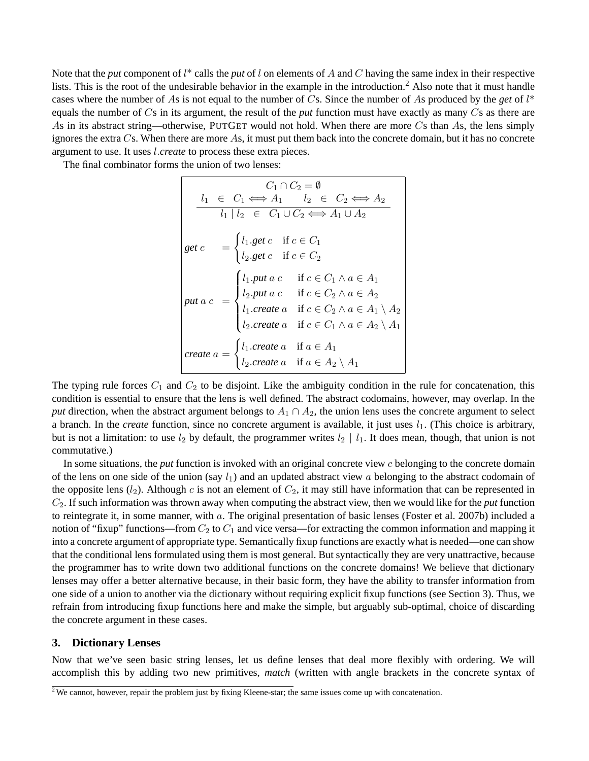Note that the *put* component of  $l^*$  calls the *put* of  $l$  on elements of  $A$  and  $C$  having the same index in their respective lists. This is the root of the undesirable behavior in the example in the introduction.<sup>2</sup> Also note that it must handle cases where the number of As is not equal to the number of  $\overline{C}$ s. Since the number of As produced by the *get* of  $l^*$ equals the number of Cs in its argument, the result of the *put* function must have exactly as many Cs as there are As in its abstract string—otherwise, PUTGET would not hold. When there are more Cs than As, the lens simply ignores the extra Cs. When there are more As, it must put them back into the concrete domain, but it has no concrete argument to use. It uses l.*create* to process these extra pieces.

The final combinator forms the union of two lenses:

$$
C_1 \cap C_2 = \emptyset
$$
\n
$$
\frac{l_1 \in C_1 \Longleftrightarrow A_1 \quad l_2 \in C_2 \Longleftrightarrow A_2}{l_1 \mid l_2 \in C_1 \cup C_2 \Longleftrightarrow A_1 \cup A_2}
$$
\n
$$
get \ c = \begin{cases} l_1.get \ c & \text{if } c \in C_1 \\ l_2.get \ c & \text{if } c \in C_2 \end{cases}
$$
\n
$$
put \ a \ c = \begin{cases} l_1.put \ a \ c & \text{if } c \in C_1 \land a \in A_1 \\ l_2.put \ a & \text{if } c \in C_2 \land a \in A_2 \\ l_1.create \ a & \text{if } c \in C_2 \land a \in A_1 \setminus A_2 \\ l_2.create \ a & \text{if } c \in C_1 \land a \in A_2 \setminus A_1 \end{cases}
$$
\n
$$
create \ a = \begin{cases} l_1.create \ a & \text{if } a \in A_1 \\ l_2.create \ a & \text{if } a \in A_2 \setminus A_1 \\ l_2.create \ a & \text{if } a \in A_2 \setminus A_1 \end{cases}
$$

The typing rule forces  $C_1$  and  $C_2$  to be disjoint. Like the ambiguity condition in the rule for concatenation, this condition is essential to ensure that the lens is well defined. The abstract codomains, however, may overlap. In the *put* direction, when the abstract argument belongs to  $A_1 \cap A_2$ , the union lens uses the concrete argument to select a branch. In the *create* function, since no concrete argument is available, it just uses  $l_1$ . (This choice is arbitrary, but is not a limitation: to use  $l_2$  by default, the programmer writes  $l_2 \mid l_1$ . It does mean, though, that union is not commutative.)

In some situations, the *put* function is invoked with an original concrete view c belonging to the concrete domain of the lens on one side of the union (say  $l_1$ ) and an updated abstract view a belonging to the abstract codomain of the opposite lens  $(l_2)$ . Although c is not an element of  $C_2$ , it may still have information that can be represented in C2. If such information was thrown away when computing the abstract view, then we would like for the *put* function to reintegrate it, in some manner, with a. The original presentation of basic lenses (Foster et al. 2007b) included a notion of "fixup" functions—from  $C_2$  to  $C_1$  and vice versa—for extracting the common information and mapping it into a concrete argument of appropriate type. Semantically fixup functions are exactly what is needed—one can show that the conditional lens formulated using them is most general. But syntactically they are very unattractive, because the programmer has to write down two additional functions on the concrete domains! We believe that dictionary lenses may offer a better alternative because, in their basic form, they have the ability to transfer information from one side of a union to another via the dictionary without requiring explicit fixup functions (see Section 3). Thus, we refrain from introducing fixup functions here and make the simple, but arguably sub-optimal, choice of discarding the concrete argument in these cases.

# **3. Dictionary Lenses**

Now that we've seen basic string lenses, let us define lenses that deal more flexibly with ordering. We will accomplish this by adding two new primitives, *match* (written with angle brackets in the concrete syntax of

 $2\overline{W}$  We cannot, however, repair the problem just by fixing Kleene-star; the same issues come up with concatenation.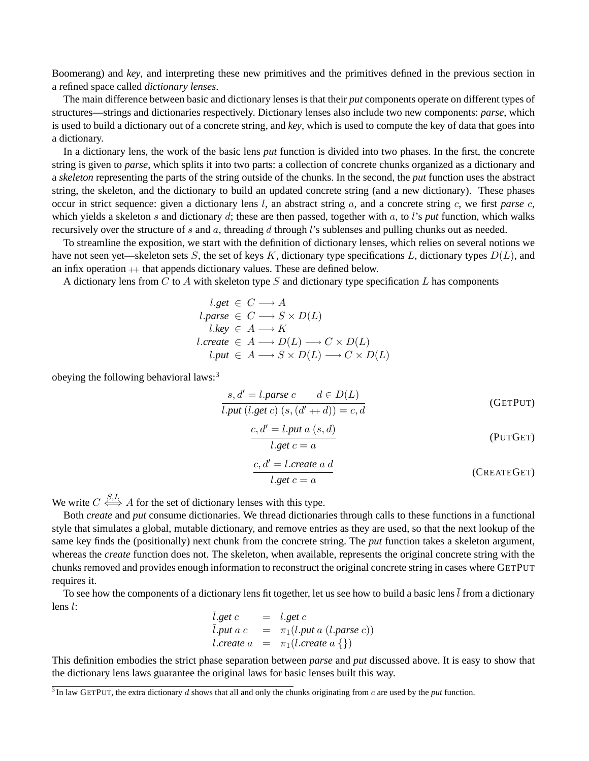Boomerang) and *key*, and interpreting these new primitives and the primitives defined in the previous section in a refined space called *dictionary lenses*.

The main difference between basic and dictionary lenses is that their *put* components operate on different types of structures—strings and dictionaries respectively. Dictionary lenses also include two new components: *parse*, which is used to build a dictionary out of a concrete string, and *key*, which is used to compute the key of data that goes into a dictionary.

In a dictionary lens, the work of the basic lens *put* function is divided into two phases. In the first, the concrete string is given to *parse*, which splits it into two parts: a collection of concrete chunks organized as a dictionary and a *skeleton* representing the parts of the string outside of the chunks. In the second, the *put* function uses the abstract string, the skeleton, and the dictionary to build an updated concrete string (and a new dictionary). These phases occur in strict sequence: given a dictionary lens l, an abstract string a, and a concrete string c, we first *parse* c, which yields a skeleton s and dictionary d; these are then passed, together with a, to l's *put* function, which walks recursively over the structure of s and a, threading d through l's sublenses and pulling chunks out as needed.

To streamline the exposition, we start with the definition of dictionary lenses, which relies on several notions we have not seen yet—skeleton sets S, the set of keys K, dictionary type specifications L, dictionary types  $D(L)$ , and an infix operation  $+$  that appends dictionary values. These are defined below.

A dictionary lens from  $C$  to  $A$  with skeleton type  $S$  and dictionary type specification  $L$  has components

$$
l.get \in C \longrightarrow A
$$
  
\n
$$
l.parse \in C \longrightarrow S \times D(L)
$$
  
\n
$$
lkey \in A \longrightarrow K
$$
  
\n
$$
l.create \in A \longrightarrow D(L) \longrightarrow C \times D(L)
$$
  
\n
$$
l.put \in A \longrightarrow S \times D(L) \longrightarrow C \times D(L)
$$

obeying the following behavioral laws:<sup>3</sup>

$$
s, d' = l.parse \ c \ d \in D(L)
$$
  

$$
l.put (l.get c) (s, (d' + d)) = c, d
$$
 (GETPUT)

$$
\frac{c, d' = l.put \, a \, (s, d)}{l.get \, c = a}
$$
 (PUTGET)

$$
c, d' = l.create \ a \ d
$$
\n
$$
l.get \ c = a
$$
\n(CREATEGET)

We write  $C \stackrel{S,L}{\iff} A$  for the set of dictionary lenses with this type.

Both *create* and *put* consume dictionaries. We thread dictionaries through calls to these functions in a functional style that simulates a global, mutable dictionary, and remove entries as they are used, so that the next lookup of the same key finds the (positionally) next chunk from the concrete string. The *put* function takes a skeleton argument, whereas the *create* function does not. The skeleton, when available, represents the original concrete string with the chunks removed and provides enough information to reconstruct the original concrete string in cases where GETPUT requires it.

To see how the components of a dictionary lens fit together, let us see how to build a basic lens  $\bar{l}$  from a dictionary lens l:

*l.get c* = *l.get c*  
\n*l.put a c* = 
$$
\pi_1(l.put a (l.parse c))
$$
  
\n*l.create a* =  $\pi_1(l.create a \{\})$ 

This definition embodies the strict phase separation between *parse* and *put* discussed above. It is easy to show that the dictionary lens laws guarantee the original laws for basic lenses built this way.

 $3$  In law GETPUT, the extra dictionary  $d$  shows that all and only the chunks originating from  $c$  are used by the *put* function.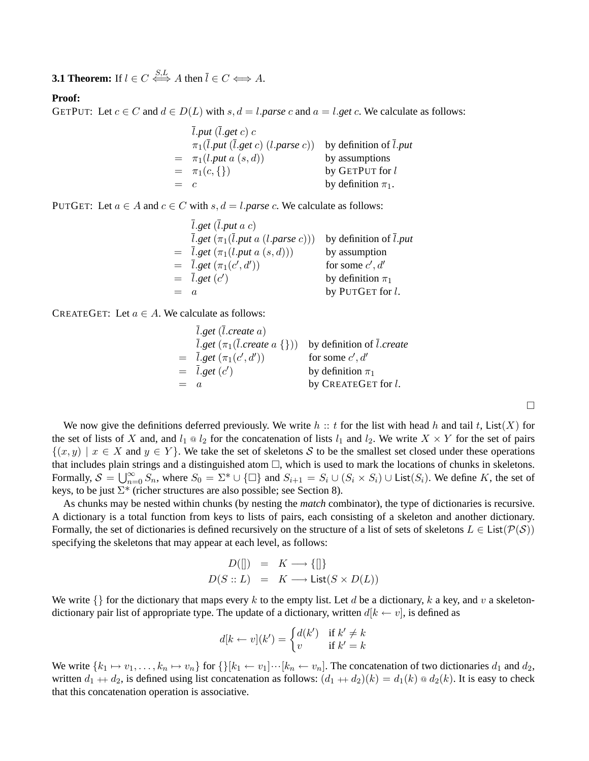**3.1 Theorem:** If  $l \in C \iff A$  then  $\overline{l} \in C \iff A$ .

## **Proof:**

GETPUT: Let  $c \in C$  and  $d \in D(L)$  with  $s, d = l$ .*parse* c and  $a = l$ .get c. We calculate as follows:

|       | $\overline{l}.put(\overline{l}.get\ c)$                       |                           |
|-------|---------------------------------------------------------------|---------------------------|
|       | $\pi_1(\overline{l}.put(\overline{l}.get\ c)\ (l. parse\ c))$ | by definition of $l. put$ |
|       | $= \pi_1(l.put \, a \, (s, d))$                               | by assumptions            |
|       | $= \pi_1(c, \{\})$                                            | by GETPUT for $l$         |
| $=$ c |                                                               | by definition $\pi_1$ .   |

PUTGET: Let  $a \in A$  and  $c \in C$  with  $s, d = l$ . parse c. We calculate as follows:

| $\overline{l}$ .get ( $\overline{l}$ .put a c)                     |                                     |
|--------------------------------------------------------------------|-------------------------------------|
| $\overline{l}$ get $(\pi_1(\overline{l}.put \ a \ (l.parse \ c)))$ | by definition of $\overline{l}.put$ |
| $=$ l.get $(\pi_1(l.put \, a \, (s, d)))$                          | by assumption                       |
| $=$ $l.get(\pi_1(c', d'))$                                         | for some $c', d'$                   |
| $=$ $\overline{l} . get (c')$                                      | by definition $\pi_1$               |
| $\alpha$                                                           | by PUTGET for $l$ .                 |

CREATEGET: Let  $a \in A$ . We calculate as follows:

*l.get* (*l.create a*)  
\n*l.get* (
$$
\pi_1
$$
(*l.create a* {}\)) by definition of *l.create*  
\n
$$
= \overline{l.get} (\pi_1(c', d'))
$$
 for some *c'*, *d'*  
\n
$$
= \overline{l.get} (c')
$$
 by definition  $\pi_1$   
\n
$$
= a
$$
 by CREATEGET for *l*.

 $\Box$ 

We now give the definitions deferred previously. We write h: t for the list with head h and tail t, List(X) for the set of lists of X and, and  $l_1 \, \text{O} \, l_2$  for the concatenation of lists  $l_1$  and  $l_2$ . We write  $X \times Y$  for the set of pairs  $\{(x, y) \mid x \in X \text{ and } y \in Y\}.$  We take the set of skeletons S to be the smallest set closed under these operations that includes plain strings and a distinguished atom  $\Box$ , which is used to mark the locations of chunks in skeletons. Formally,  $S = \bigcup_{n=0}^{\infty} S_n$ , where  $S_0 = \Sigma^* \cup \{\Box\}$  and  $S_{i+1} = S_i \cup (S_i \times S_i) \cup \text{List}(S_i)$ . We define K, the set of keys, to be just  $\Sigma^*$  (richer structures are also possible; see Section 8).

As chunks may be nested within chunks (by nesting the *match* combinator), the type of dictionaries is recursive. A dictionary is a total function from keys to lists of pairs, each consisting of a skeleton and another dictionary. Formally, the set of dictionaries is defined recursively on the structure of a list of sets of skeletons  $L \in \text{List}(\mathcal{P}(\mathcal{S}))$ specifying the skeletons that may appear at each level, as follows:

$$
D(\parallel) = K \longrightarrow {\parallel}
$$
  

$$
D(S::L) = K \longrightarrow List(S \times D(L))
$$

We write  $\{\}\$ for the dictionary that maps every k to the empty list. Let d be a dictionary, k a key, and v a skeletondictionary pair list of appropriate type. The update of a dictionary, written  $d[k \leftarrow v]$ , is defined as

$$
d[k \leftarrow v](k') = \begin{cases} d(k') & \text{if } k' \neq k \\ v & \text{if } k' = k \end{cases}
$$

We write  $\{k_1 \mapsto v_1, \ldots, k_n \mapsto v_n\}$  for  $\{\}[k_1 \leftarrow v_1] \cdots [k_n \leftarrow v_n]$ . The concatenation of two dictionaries  $d_1$  and  $d_2$ , written  $d_1 + d_2$ , is defined using list concatenation as follows:  $(d_1 + d_2)(k) = d_1(k) \otimes d_2(k)$ . It is easy to check that this concatenation operation is associative.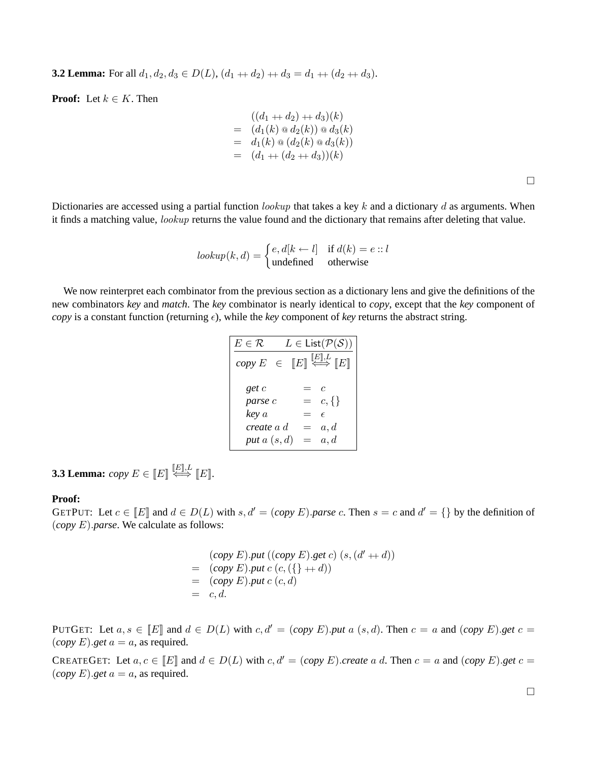**3.2 Lemma:** For all  $d_1, d_2, d_3 \in D(L)$ ,  $(d_1 + d_2) + d_3 = d_1 + (d_2 + d_3)$ .

**Proof:** Let  $k \in K$ . Then

$$
= (d_1 + d_2) + d_3)(k)
$$
  
=  $(d_1(k) \circledcirc d_2(k)) \circledcirc d_3(k)$   
=  $d_1(k) \circledcirc (d_2(k) \circledcirc d_3(k))$   
=  $(d_1 + (d_2 + d_3))(k)$ 

Dictionaries are accessed using a partial function *lookup* that takes a key k and a dictionary d as arguments. When it finds a matching value, lookup returns the value found and the dictionary that remains after deleting that value.

$$
lookup(k, d) = \begin{cases} e, d[k \leftarrow l] & \text{if } d(k) = e::l \\ \text{undefined} & \text{otherwise} \end{cases}
$$

We now reinterpret each combinator from the previous section as a dictionary lens and give the definitions of the new combinators *key* and *match*. The *key* combinator is nearly identical to *copy*, except that the *key* component of *copy* is a constant function (returning  $\epsilon$ ), while the *key* component of *key* returns the abstract string.

| $E\in\mathcal{R}$ | $L \in \mathsf{List}(\mathcal{P}(\mathcal{S}))$                                               |
|-------------------|-----------------------------------------------------------------------------------------------|
| copy E<br>$\in$   | $\llbracket E \rrbracket \stackrel{\llbracket E \rrbracket, L}{\iff} \llbracket E \rrbracket$ |
| get c             | $\epsilon$                                                                                    |
| parse c           | $c, \{\}$                                                                                     |
| key a             | E                                                                                             |
| create a d        | a, d                                                                                          |
| put $a(s,d)$      | a, d                                                                                          |

**3.3 Lemma:**  $copy E \in [E] \stackrel{[E], L}{\iff} [E].$ 

#### **Proof:**

GETPUT: Let  $c \in [E]$  and  $d \in D(L)$  with  $s, d' = (copy E)$ . parse c. Then  $s = c$  and  $d' = \{\}$  by the definition of (*copy* E).*parse*. We calculate as follows:

> $(copy E)$ *put*  $((copy E)$ *.get*  $c)$   $(s, (d' + d))$  $= (copy E).put c (c, (\{\} + d))$  $=$  (*copy* E). put  $c(c, d)$  $=$   $c, d$ .

PUTGET: Let  $a, s \in [E]$  and  $d \in D(L)$  with  $c, d' = (copy E)$ . put  $a (s, d)$ . Then  $c = a$  and  $(copy E)$ . get  $c =$  $(copy E).get a = a$ , as required.

CREATEGET: Let  $a, c \in [E]$  and  $d \in D(L)$  with  $c, d' = (copy E)$ . *create* a d. Then  $c = a$  and  $(copy E)$ . get  $c =$  $(copy E)$ *.get*  $a = a$ , as required.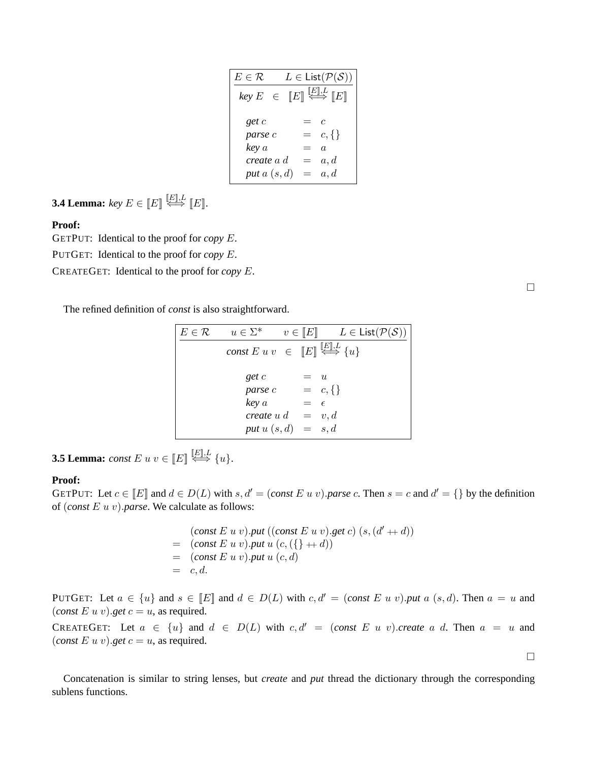| $E \in \mathcal{R}$                     |     | $L \in \mathsf{List}(\mathcal{P}(\mathcal{S}))$                                               |
|-----------------------------------------|-----|-----------------------------------------------------------------------------------------------|
| key E<br>$\in$                          |     | $\llbracket E \rrbracket \stackrel{\llbracket E \rrbracket, L}{\iff} \llbracket E \rrbracket$ |
| get c<br>parse c<br>key a<br>create a d | $=$ | $\mathcal{C}$<br>$c, \{\}$<br>$\alpha$<br>a, d                                                |
| put $a(s,d)$                            |     | a, d                                                                                          |

**3.4 Lemma:**  $key E \in [E] \stackrel{[E],L}{\iff} [E].$ 

## **Proof:**

GETPUT: Identical to the proof for *copy* E.

PUTGET: Identical to the proof for *copy* E.

CREATEGET: Identical to the proof for *copy* E.

 $\Box$ 

 $\Box$ 

The refined definition of *const* is also straightforward.

| $E \in \mathcal{R}$ | $u \in \Sigma^*$                                                                                         | $v \in \llbracket E \rrbracket$ | $L \in \mathsf{List}(\mathcal{P}(\mathcal{S}))$ |
|---------------------|----------------------------------------------------------------------------------------------------------|---------------------------------|-------------------------------------------------|
|                     | $\textit{const}\;E\;u\;v\;\;\in\;\;\llbracket E\rrbracket\stackrel{\llbracket E\rrbracket,L}{\iff}\{u\}$ |                                 |                                                 |
|                     | get c                                                                                                    | $=$ u                           |                                                 |
|                     | parse c                                                                                                  | $= c, \{\}$                     |                                                 |
|                     | key a                                                                                                    | $=$ $\epsilon$                  |                                                 |
|                     | create $u d = v, d$                                                                                      |                                 |                                                 |
|                     | put $u(s, d) = s, d$                                                                                     |                                 |                                                 |

**3.5 Lemma:** *const*  $E$   $u$   $v \in [E] \stackrel{[E],L}{\iff} \{u\}.$ 

# **Proof:**

GETPUT: Let  $c \in [E]$  and  $d \in D(L)$  with  $s, d' = (const E u v)$ . *parse* c. Then  $s = c$  and  $d' = \{\}$  by the definition of (*const* E u v).*parse*. We calculate as follows:

$$
\begin{array}{ll}\n\text{(const } E \ u \ v) . \text{put } ((\text{const } E \ u \ v) . \text{get } c) \ (s, (d' + d)) \\
= & (\text{const } E \ u \ v) . \text{put } u \ (c, (\{\} + d)) \\
= & (\text{const } E \ u \ v) . \text{put } u \ (c, d) \\
= & c, d.\n\end{array}
$$

PUTGET: Let  $a \in \{u\}$  and  $s \in [E]$  and  $d \in D(L)$  with  $c, d' = (const E u v)$ . *put*  $a (s, d)$ . Then  $a = u$  and (*const*  $E$  *u v*).*get*  $c = u$ , as required.

CREATEGET: Let  $a \in \{u\}$  and  $d \in D(L)$  with  $c, d' = (const E u v)$ . *create* a d. Then  $a = u$  and (*const*  $E u v$ ).*get*  $c = u$ , as required.

Concatenation is similar to string lenses, but *create* and *put* thread the dictionary through the corresponding sublens functions.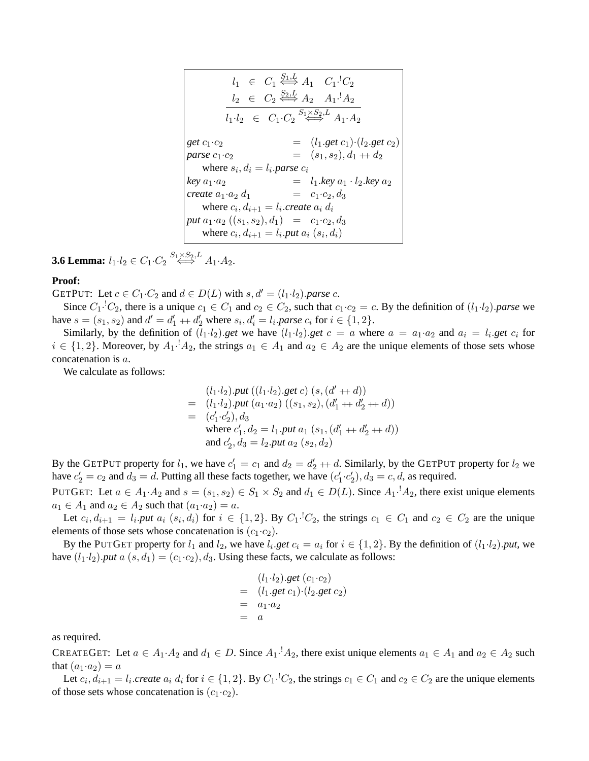$$
l_1 \in C_1 \overset{S_1,L}{\Longleftrightarrow} A_1 \quad C_1 \cdot {}^1C_2
$$
\n
$$
\frac{l_2 \in C_2 \overset{S_2,L}{\Longleftrightarrow} A_2 \quad A_1 \cdot {}^1A_2}{l_1 \cdot l_2 \in C_1 \cdot C_2} \overset{S_1 \times S_2,L}{\Longleftrightarrow} A_1 \cdot A_2
$$
\n*get c*<sub>1</sub>·c<sub>2</sub> =  $(l_1.get c_1) \cdot (l_2.get c_2)$   
\n*parse c*<sub>1</sub>·c<sub>2</sub> =  $(s_1, s_2), d_1 + d_2$   
\nwhere  $s_i, d_i = l_i$ -*parse c*<sub>i</sub>  
\n*key a*<sub>1</sub>·a<sub>2</sub> =  $l_1$ .*key a*<sub>1</sub>·l<sub>2</sub>.*key a*<sub>2</sub>  
\n*create a*<sub>1</sub>·a<sub>2</sub> d<sub>1</sub> =  $c_1$ ·c<sub>2</sub>, d<sub>3</sub>  
\nwhere  $c_i, d_{i+1} = l_i$ .*create a*<sub>i</sub> d<sub>i</sub>  
\n*put a*<sub>1</sub>·a<sub>2</sub> ((s<sub>1</sub>, s<sub>2</sub>), d<sub>1</sub>) =  $c_1$ ·c<sub>2</sub>, d<sub>3</sub>  
\nwhere  $c_i, d_{i+1} = l_i$ .*put a*<sub>i</sub> (s<sub>i</sub>, d<sub>i</sub>)

**3.6 Lemma:**  $l_1 \cdot l_2 \in C_1 \cdot C_2 \stackrel{S_1 \times S_2, L}{\iff} A_1 \cdot A_2.$ 

#### **Proof:**

GETPUT: Let  $c \in C_1 \cdot C_2$  and  $d \in D(L)$  with  $s, d' = (l_1 \cdot l_2)$  *parse c.* 

Since  $C_1$ <sup>1</sup> $C_2$ , there is a unique  $c_1 \in C_1$  and  $c_2 \in C_2$ , such that  $c_1$  $c_2 = c$ . By the definition of  $(l_1 \cdot l_2)$ *parse* we have  $s = (s_1, s_2)$  and  $d' = d'_1 + d'_2$  where  $s_i, d'_i = l_i$  *parse*  $c_i$  for  $i \in \{1, 2\}$ .

Similarly, by the definition of  $(l_1 \cdot l_2)$  *get* we have  $(l_1 \cdot l_2)$  *get*  $c = a$  where  $a = a_1 \cdot a_2$  and  $a_i = l_i$  *get*  $c_i$  for  $i \in \{1,2\}$ . Moreover, by  $A_1 \cdot A_2$ , the strings  $a_1 \in A_1$  and  $a_2 \in A_2$  are the unique elements of those sets whose concatenation is a.

We calculate as follows:

$$
(l_1 \cdot l_2).put ((l_1 \cdot l_2).get c) (s, (d' + d))
$$
  
=  $(l_1 \cdot l_2).put (a_1 \cdot a_2) ((s_1, s_2), (d'_1 + d'_2 + d))$   
=  $(c'_1 \cdot c'_2), d_3$   
where  $c'_1, d_2 = l_1.put a_1 (s_1, (d'_1 + d'_2 + d))$   
and  $c'_2, d_3 = l_2.put a_2 (s_2, d_2)$ 

By the GETPUT property for  $l_1$ , we have  $c'_1 = c_1$  and  $d_2 = d'_2 + d$ . Similarly, by the GETPUT property for  $l_2$  we have  $c'_2 = c_2$  and  $d_3 = d$ . Putting all these facts together, we have  $(c'_1 \cdot c'_2)$ ,  $d_3 = c$ , d, as required.

PUTGET: Let  $a \in A_1 \cdot A_2$  and  $s = (s_1, s_2) \in S_1 \times S_2$  and  $d_1 \in D(L)$ . Since  $A_1 \cdot A_2$ , there exist unique elements  $a_1 \in A_1$  and  $a_2 \in A_2$  such that  $(a_1 \cdot a_2) = a$ .

Let  $c_i, d_{i+1} = l_i$  *put*  $a_i$   $(s_i, d_i)$  for  $i \in \{1, 2\}$ . By  $C_1$  <sup>1</sup> $C_2$ , the strings  $c_1 \in C_1$  and  $c_2 \in C_2$  are the unique elements of those sets whose concatenation is  $(c_1 \cdot c_2)$ .

By the PUTGET property for  $l_1$  and  $l_2$ , we have  $l_i.get$   $c_i = a_i$  for  $i \in \{1, 2\}$ . By the definition of  $(l_1 \cdot l_2)$ . *put*, we have  $(l_1 \tcdot l_2)$ *put*  $a(s, d_1) = (c_1 \tcdot c_2)$ ,  $d_3$ . Using these facts, we calculate as follows:

$$
(l_1 \cdot l_2).get (c_1 \cdot c_2)
$$
  
= (l\_1.get c\_1) \cdot (l\_2.get c\_2)  
= a\_1 \cdot a\_2  
= a

as required.

CREATEGET: Let  $a \in A_1 \cdot A_2$  and  $d_1 \in D$ . Since  $A_1 \cdot A_2$ , there exist unique elements  $a_1 \in A_1$  and  $a_2 \in A_2$  such that  $(a_1 \cdot a_2) = a$ 

Let  $c_i, d_{i+1} = l_i$  *create*  $a_i d_i$  for  $i \in \{1, 2\}$ . By  $C_1 \cdot C_2$ , the strings  $c_1 \in C_1$  and  $c_2 \in C_2$  are the unique elements of those sets whose concatenation is  $(c_1 \cdot c_2)$ .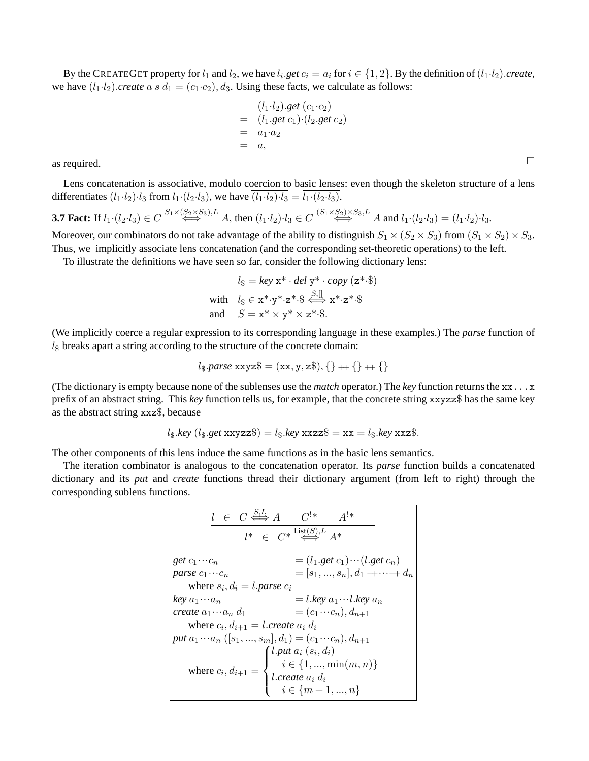By the CREATEGET property for  $l_1$  and  $l_2$ , we have  $l_i.get$   $c_i = a_i$  for  $i \in \{1,2\}$ . By the definition of  $(l_1 \cdot l_2)$ .*create*, we have  $(l_1 \tcdot l_2)$ .*create* a s  $d_1 = (c_1 \tcdot c_2)$ ,  $d_3$ . Using these facts, we calculate as follows:

$$
(l_1 \cdot l_2).get (c_1 \cdot c_2)
$$
  
=  $(l_1.get c_1) \cdot (l_2.get c_2)$   
=  $a_1 \cdot a_2$   
=  $a$ ,

as required.  $\Box$ 

Lens concatenation is associative, modulo coercion to basic lenses: even though the skeleton structure of a lens differentiates  $(l_1·l_2)·l_3$  from  $l_1·(l_2·l_3)$ , we have  $\overline{(l_1·l_2)·l_3} = \overline{l_1·(l_2·l_3)}$ .

**3.7 Fact:** If 
$$
l_1 \cdot (l_2 \cdot l_3) \in C \stackrel{S_1 \times (S_2 \times S_3), L}{\iff} A
$$
, then  $(l_1 \cdot l_2) \cdot l_3 \in C \stackrel{(S_1 \times S_2) \times S_3, L}{\iff} A$  and  $\overline{l_1 \cdot (l_2 \cdot l_3)} = \overline{(l_1 \cdot l_2) \cdot l_3}$ .

Moreover, our combinators do not take advantage of the ability to distinguish  $S_1 \times (S_2 \times S_3)$  from  $(S_1 \times S_2) \times S_3$ . Thus, we implicitly associate lens concatenation (and the corresponding set-theoretic operations) to the left.

To illustrate the definitions we have seen so far, consider the following dictionary lens:

$$
l_{\$} = \text{key } x^* \cdot \text{del } y^* \cdot \text{copy } (z^* \cdot \$)
$$
  
with 
$$
l_{\$} \in x^* \cdot y^* \cdot z^* \cdot \$ \stackrel{S, []}{\iff} x^* \cdot z^* \cdot \$
$$
  
and 
$$
S = x^* \times y^* \times z^* \cdot \$.
$$

(We implicitly coerce a regular expression to its corresponding language in these examples.) The *parse* function of  $l_{\$}$  breaks apart a string according to the structure of the concrete domain:

$$
l_{\$}.\text{parse xyz\$} = (xx, y, z\$), \{\} + \{\} + \{\}
$$

(The dictionary is empty because none of the sublenses use the *match* operator.) The *key* function returns the xx...x prefix of an abstract string. This *key* function tells us, for example, that the concrete string xxyzz\$ has the same key as the abstract string xxz\$, because

$$
l_{\$}.\text{key } (l_{\$}.get \text{xxyzz\$}) = l_{\$}.\text{key} \text{xxzz\$} = \text{xx} = l_{\$}.\text{key} \text{xxx\$}.
$$

The other components of this lens induce the same functions as in the basic lens semantics.

The iteration combinator is analogous to the concatenation operator. Its *parse* function builds a concatenated dictionary and its *put* and *create* functions thread their dictionary argument (from left to right) through the corresponding sublens functions.

$$
\underbrace{l \in C \overset{S,L}{\Longleftrightarrow} A \quad C^{!*} \quad A^{!*}}_{l^* \in C^* \overset{\text{List}(S),L}{\Longleftrightarrow} A^*}
$$
\n
$$
\text{get } c_1 \cdots c_n = (l_1 \cdot \text{get } c_1) \cdots (l \cdot \text{get } c_n)
$$
\n
$$
\text{parse } c_1 \cdots c_n = [s_1, \dots, s_n], d_1 + \cdots + d_n
$$
\n
$$
\text{where } s_i, d_i = l.\text{parse } c_i
$$
\n
$$
\text{key } a_1 \cdots a_n = l.\text{key } a_1 \cdots l.\text{key } a_n
$$
\n
$$
\text{create } a_1 \cdots a_n d_1 = (c_1 \cdots c_n), d_{n+1}
$$
\n
$$
\text{where } c_i, d_{i+1} = l.\text{create } a_i d_i
$$
\n
$$
\text{put } a_1 \cdots a_n ([s_1, \dots, s_m], d_1) = (c_1 \cdots c_n), d_{n+1}
$$
\n
$$
\text{where } c_i, d_{i+1} = \begin{cases} l.\text{put } a_i (s_i, d_i) \\ i \in \{1, \dots, \min(m, n)\} \\ l.\text{create } a_i d_i \\ i \in \{m+1, \dots, n\} \end{cases}
$$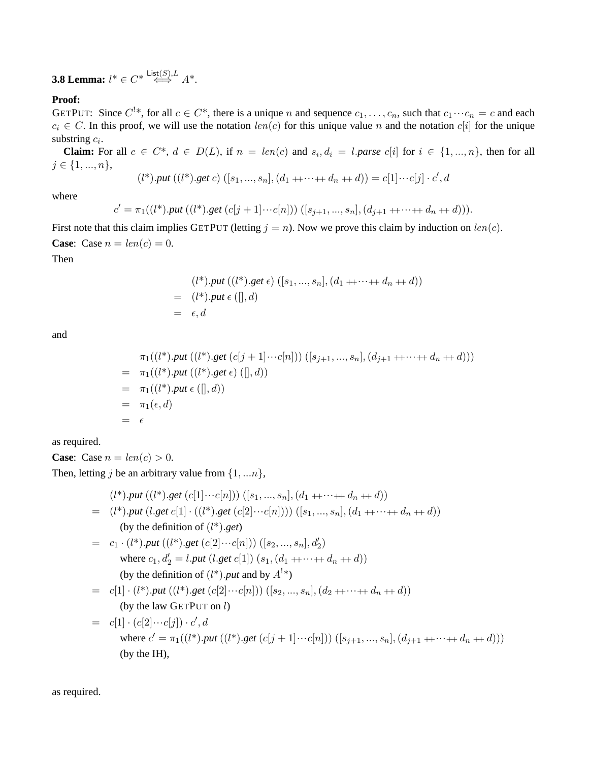**3.8 Lemma:**  $l^* \in C^* \stackrel{\mathsf{List}(S),L}{\iff} A^*$ .

# **Proof:**

GETPUT: Since  $C^{!*}$ , for all  $c \in C^*$ , there is a unique n and sequence  $c_1, \ldots, c_n$ , such that  $c_1 \cdots c_n = c$  and each  $c_i \in C$ . In this proof, we will use the notation  $len(c)$  for this unique value n and the notation  $c[i]$  for the unique substring  $c_i$ .

**Claim:** For all  $c \in C^*$ ,  $d \in D(L)$ , if  $n = len(c)$  and  $s_i, d_i = l$  *parse*  $c[i]$  for  $i \in \{1, ..., n\}$ , then for all  $j \in \{1, ..., n\},\$ 

$$
(l^*).put\ ((l^*).get\ c)\ ([s_1,...,s_n],(d_1+ \cdots + d_n + d))=c[1]\cdots c[j]\cdot c',d
$$

where

$$
c' = \pi_1((l^*).put ((l^*).get (c[j + 1] \cdots c[n])) ([s_{j+1}, ..., s_n], (d_{j+1} + \cdots + d_n + d))).
$$

First note that this claim implies GETPUT (letting  $j = n$ ). Now we prove this claim by induction on  $len(c)$ . **Case**: Case  $n = len(c) = 0$ .

Then

$$
(l^*).put ((l^*).get \epsilon) ([s_1,...,s_n], (d_1 + \cdots + d_n + d))
$$
  
= (l^\*).put  $\epsilon$  ([l,d)  
=  $\epsilon$ , d

and

$$
\pi_1((l^*).put ((l^*).get (c[j + 1] \cdots c[n])) ([s_{j+1}, ..., s_n], (d_{j+1} + \cdots + d_n + d)))
$$
\n
$$
= \pi_1((l^*).put ((l^*).get \epsilon) ([], d))
$$
\n
$$
= \pi_1((l^*).put \epsilon ([], d))
$$
\n
$$
= \pi_1(\epsilon, d)
$$
\n
$$
= \epsilon
$$

as required.

**Case**: Case  $n = len(c) > 0$ .

Then, letting j be an arbitrary value from  $\{1,...n\}$ ,

$$
(l^*).put ((l^*).get (c[1]...c[n])) ([s_1,...,s_n], (d_1 + \cdots + d_n + d))
$$
\n= (l^\*).put (l.get c[1] · ((l^\*).get (c[2]...c[n]))) ([s\_1,...,s\_n], (d\_1 + \cdots + d\_n + d))  
\n(by the definition of (l^\*).get)  
\n= c<sub>1</sub> · (l^\*).put ((l^\*).get (c[2]...c[n])) ([s<sub>2</sub>,...,s<sub>n</sub>], d'<sub>2</sub>)  
\nwhere c<sub>1</sub>, d'<sub>2</sub> = l.put (l.get c[1]) (s<sub>1</sub>, (d<sub>1</sub> + \cdots + d<sub>n</sub> + d))  
\n(by the definition of (l^\*).put and by A<sup>1\*</sup>)  
\n= c[1] · (l^\*).put ((l^\*).get (c[2]...c[n])) ([s<sub>2</sub>,...,s<sub>n</sub>], (d<sub>2</sub> + \cdots + d<sub>n</sub> + d))  
\n(by the law GETPUT on l)  
\n= c[1] · (c[2]...c[j]) · c', d  
\nwhere c' = π<sub>1</sub>((l^\*).put ((l^\*).get (c[j + 1]...c[n])) ([s<sub>j+1</sub>,...,s<sub>n</sub>], (d<sub>j+1</sub> + \cdots + d<sub>n</sub> + d)))  
\n(by the IH),

as required.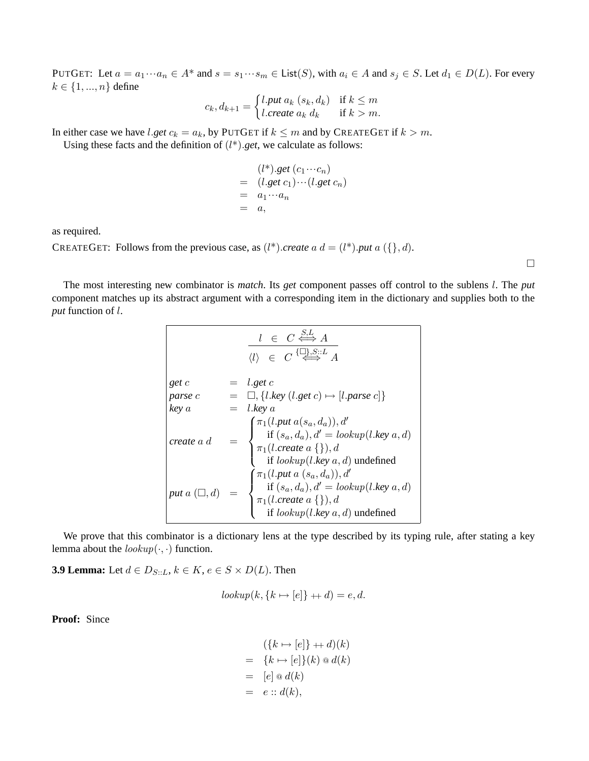PUTGET: Let  $a = a_1 \cdots a_n \in A^*$  and  $s = s_1 \cdots s_m \in \text{List}(S)$ , with  $a_i \in A$  and  $s_j \in S$ . Let  $d_1 \in D(L)$ . For every  $k \in \{1, ..., n\}$  define

$$
c_k, d_{k+1} = \begin{cases} l.put \ a_k \ (s_k, d_k) & \text{if } k \le m \\ l.create \ a_k \ d_k & \text{if } k > m. \end{cases}
$$

In either case we have *l.get*  $c_k = a_k$ , by PUTGET if  $k \le m$  and by CREATEGET if  $k > m$ .

Using these facts and the definition of  $(l^*)$ .*get*, we calculate as follows:

$$
(l^*).get (c_1 \cdots c_n)
$$
  
= (l.get c\_1) \cdots (l.get c\_n)  
= a\_1 \cdots a\_n  
= a,

as required.

CREATEGET: Follows from the previous case, as  $(l^*)$ .*create*  $a d = (l^*)$ .*put*  $a \in (l, d)$ .

The most interesting new combinator is *match*. Its *get* component passes off control to the sublens l. The *put* component matches up its abstract argument with a corresponding item in the dictionary and supplies both to the *put* function of l.

$$
\begin{array}{rcl}\n & l & \in & C \stackrel{S,L}{\Longleftrightarrow} A \\
 \hline\n \langle l \rangle & \in & C \stackrel{\{\Box\},S::L}{\Longleftrightarrow} A \\
 \text{get } c & = & \Box, \{l.\text{key } (l.\text{get } c) \mapsto [l.\text{parse } c] \} \\
 \text{key } a & = & l.\text{key } a \\
 \text{create } a d & = & \begin{cases}\n \pi_1(l.\text{put } a(s_a, d_a)), d' \\
 \text{if } (s_a, d_a), d' = \text{lookup}(l.\text{key } a, d) \\
 \text{if } \text{lookup}(l.\text{key } a, d) \text{ undefined} \\
 \text{if } (\text{say } d, d), d' = \text{lookup}(l.\text{key } a, d)\n \end{cases} \\
 \text{put } a (\Box, d) & = & \begin{cases}\n \pi_1(l.\text{put } a(s_a, d_a)), d' \\
 \text{if } (s_a, d_a), d' = \text{lookup}(l.\text{key } a, d) \\
 \pi_1(l.\text{create } a \{\}) , d \\
 \text{if } \text{lookup}(l.\text{key } a, d) \text{ undefined}\n \end{cases}\n\end{array}
$$

We prove that this combinator is a dictionary lens at the type described by its typing rule, after stating a key lemma about the  $lookup(\cdot, \cdot)$  function.

**3.9 Lemma:** Let  $d \in D_{S::L}$ ,  $k \in K$ ,  $e \in S \times D(L)$ . Then

$$
lookup(k, \{k \mapsto [e]\} + d) = e, d.
$$

**Proof:** Since

$$
(\lbrace k \mapsto [e] \rbrace + d)(k)
$$
  
= 
$$
\lbrace k \mapsto [e] \rbrace (k) \circledcirc d(k)
$$
  
= 
$$
[e] \circledcirc d(k)
$$
  
= 
$$
e :: d(k),
$$

 $\Box$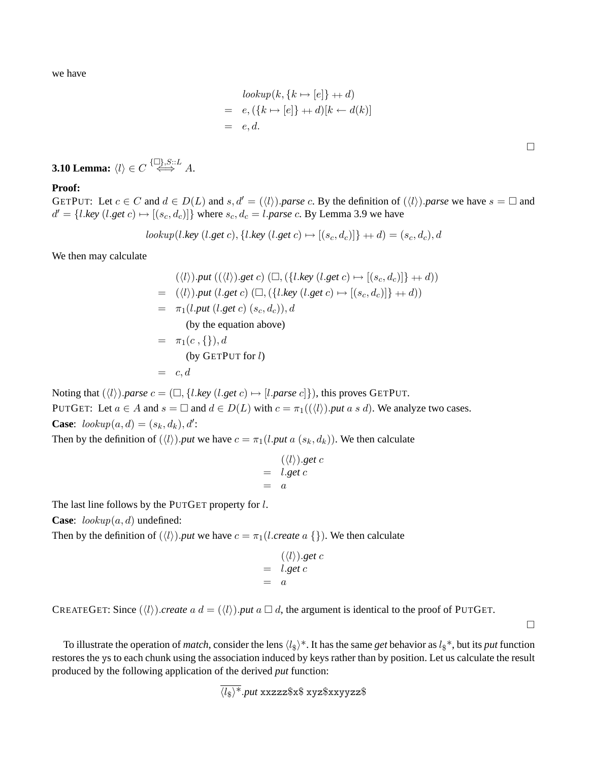we have

$$
lookup(k, \{k \mapsto [e]\} + d)
$$
  
= e,  $(\{k \mapsto [e]\} + d)[k \leftarrow d(k)]$   
= e, d.

**3.10 Lemma:**  $\langle l \rangle \in C \stackrel{\{\Box\}, S::L}{\iff} A$ .

# **Proof:**

GETPUT: Let  $c \in C$  and  $d \in D(L)$  and  $s, d' = (\langle l \rangle)$ . *parse* c. By the definition of  $(\langle l \rangle)$ . *parse* we have  $s = \Box$  and  $d' = \{l \cdot key \ (l \cdot get \ c) \mapsto [(s_c, d_c)]\}$  where  $s_c, d_c = l \cdot parse \ c$ . By Lemma 3.9 we have

$$
lookup(l.\textit{key}~(l.\textit{get}~c), \{l.\textit{key}~(l.\textit{get}~c) \mapsto [(s_c, d_c)]\} + d) = (s_c, d_c), d
$$

We then may calculate

$$
(\langle l \rangle).put ((\langle l \rangle).get c) (\Box, (\{l.key (l.get c) \mapsto [(s_c, d_c)]\} + d))
$$
  
= 
$$
(\langle l \rangle).put (l.get c) (\Box, (\{l.key (l.get c) \mapsto [(s_c, d_c)]\} + d))
$$
  
= 
$$
\pi_1(l.put (l.get c) (s_c, d_c)), d
$$
  
(by the equation above)  
= 
$$
\pi_1(c, \{\}), d
$$
  
(by GETPUT for l)  
= c, d

Noting that  $(\langle l \rangle)$ .*parse*  $c = (\square, \{l \text{.key } (l \text{.get } c) \mapsto [l \text{.parse } c] \})$ , this proves GETPUT. PUTGET: Let  $a \in A$  and  $s = \Box$  and  $d \in D(L)$  with  $c = \pi_1(\langle l \rangle)$ . *put* a s d). We analyze two cases. **Case:**  $\text{lookup}(a, d) = (s_k, d_k), d'$ :

Then by the definition of  $(\langle l \rangle)$ *, put* we have  $c = \pi_1(l$ *. put* a  $(s_k, d_k)$ *)*. We then calculate

$$
= \begin{array}{c} (\langle l \rangle).get c \\ = & l.get c \\ = & a \end{array}
$$

The last line follows by the PUTGET property for l.

**Case:**  $lookup(a, d)$  undefined:

Then by the definition of  $(\langle l \rangle)$ *.put* we have  $c = \pi_1(l\text{.create } a \{\})$ . We then calculate

$$
= \begin{array}{c} (\langle l \rangle).get c \\ = & l.get c \\ = & a \end{array}
$$

CREATEGET: Since  $(\langle l \rangle)$ .*create*  $a d = (\langle l \rangle)$ .*put*  $a \Box d$ , the argument is identical to the proof of PUTGET.

 $\Box$ 

To illustrate the operation of *match*, consider the lens  $\langle l_s \rangle^*$ . It has the same *get* behavior as  $l_s^*$ , but its *put* function restores the ys to each chunk using the association induced by keys rather than by position. Let us calculate the result produced by the following application of the derived *put* function:

$$
\overline{\langle l_{\$}\rangle^*}.put~xxzzz\$x\$~xyz\$xxyyzz\$
$$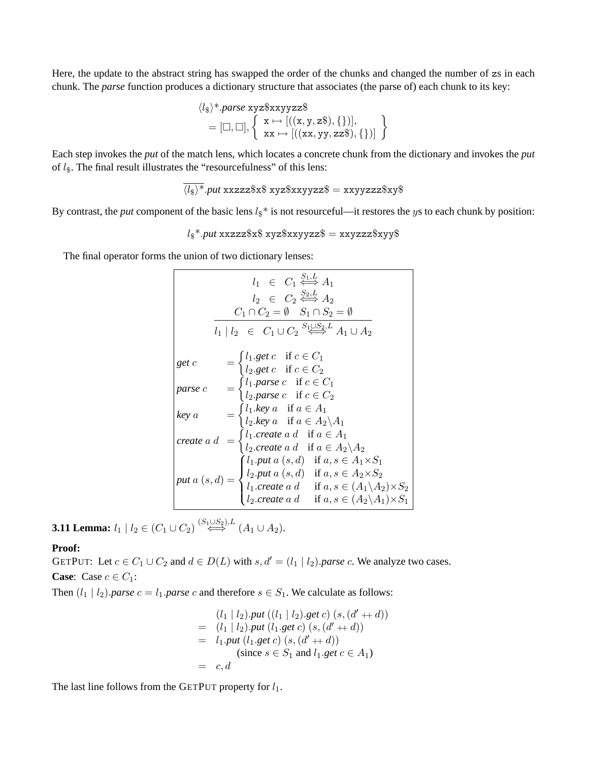Here, the update to the abstract string has swapped the order of the chunks and changed the number of zs in each chunk. The *parse* function produces a dictionary structure that associates (the parse of) each chunk to its key:

$$
\langle l_{\$}\rangle^*.parse\ xyz\$\x \rightarrow [((x, y, z\$), \{\})],= [\Box, \Box], \left\{\begin{array}{l} x \rightarrow [((x, y, z\$), \{\})],xx \rightarrow [((xx, yy, zz\$), \{\})]\end{array}\right\}
$$

Each step invokes the *put* of the match lens, which locates a concrete chunk from the dictionary and invokes the *put* of  $l_{\$}$ . The final result illustrates the "resourcefulness" of this lens:

$$
\overline{\langle l_{\$}\rangle^*}.put~xxzzz\$x\$~xyz\$xxyyzz\$ = xxyyzzz\$xy\$
$$

By contrast, the *put* component of the basic lens  $l_s^*$  is not resourceful—it restores the ys to each chunk by position:

 $l_{\$} * .$ *put* xxzzz $\$x\$ <sup>\*</sup> xyz $\$x$ xyyzz $\$ = x$ xyzzz $\$xy$ y $\$$ 

The final operator forms the union of two dictionary lenses:

$$
l_1 \in C_1 \xleftrightarrow{\sum_{i=1}^{S_1, L} A_1}
$$
  
\n
$$
l_2 \in C_2 \xleftrightarrow{\sum_{i=1}^{S_2, L} A_2}
$$
  
\n
$$
C_1 \cap C_2 = \emptyset \quad S_1 \cap S_2 = \emptyset
$$
  
\n
$$
l_1 | l_2 \in C_1 \cup C_2 \xleftrightarrow{\sum_{i=1}^{S_1 \cup S_2, L} A_1 \cup A_2}
$$
  
\nget  $c = \begin{cases} l_1.get \, c & \text{if } c \in C_1 \\ l_2.get \, c & \text{if } c \in C_2 \end{cases}$   
\nparse  $c = \begin{cases} l_1.get \, c & \text{if } c \in C_1 \\ l_2.parse \, c & \text{if } c \in C_2 \end{cases}$   
\nkey  $a = \begin{cases} l_1.get \, a & \text{if } a \in A_1 \\ l_2.get \, a & \text{if } a \in A_2 \setminus A_1 \\ l_2.create \, a & \text{if } a \in A_2 \setminus A_2 \end{cases}$   
\ncreate  $a d = \begin{cases} l_1.get \, a & \text{if } a \in A_1 \\ l_2.create \, a & \text{if } a \in A_2 \setminus A_2 \\ l_2.create \, a & \text{if } a, s \in A_2 \times S_2 \\ l_1.create \, a & \text{if } a, s \in (A_1 \setminus A_2) \times S_2 \\ l_2.create \, a & \text{if } a, s \in (A_2 \setminus A_1) \times S_1 \end{cases}$ 

**3.11 Lemma:**  $l_1 | l_2 \in (C_1 \cup C_2) \stackrel{(S_1 \cup S_2), L}{\iff} (A_1 \cup A_2).$ 

# **Proof:**

GETPUT: Let  $c \in C_1 \cup C_2$  and  $d \in D(L)$  with  $s, d' = (l_1 \mid l_2)$ . *parse* c. We analyze two cases. **Case:** Case  $c \in C_1$ :

Then  $(l_1 | l_2)$ .*parse*  $c = l_1$ .*parse* c and therefore  $s \in S_1$ . We calculate as follows:

$$
(l_1 | l_2).put ((l_1 | l_2).get c) (s, (d' + d))
$$
  
= (l\_1 | l\_2).put (l\_1.get c) (s, (d' + d))  
= l\_1.put (l\_1.get c) (s, (d' + d))  
(since  $s \in S_1$  and  $l_1.get c \in A_1$ )  
= c, d

The last line follows from the GETPUT property for  $l_1$ .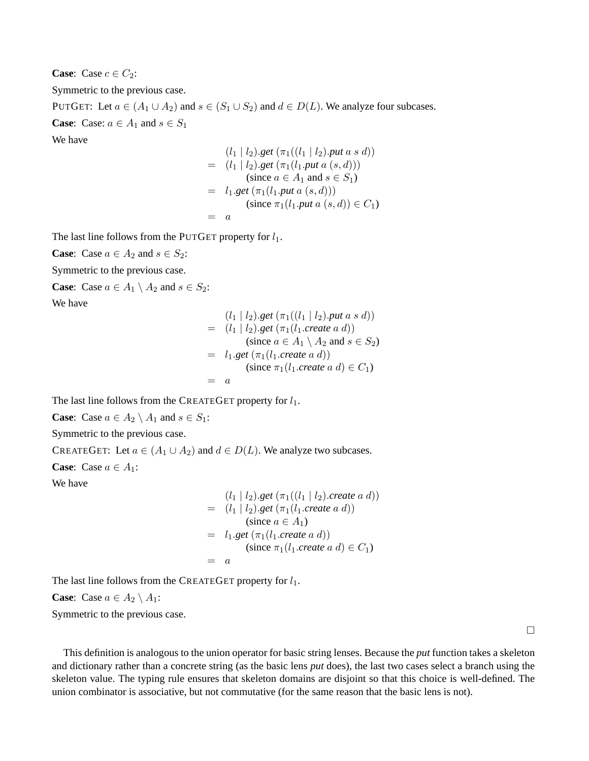**Case**: Case  $c \in C_2$ :

Symmetric to the previous case.

PUTGET: Let  $a \in (A_1 \cup A_2)$  and  $s \in (S_1 \cup S_2)$  and  $d \in D(L)$ . We analyze four subcases. **Case:** Case:  $a \in A_1$  and  $s \in S_1$ 

We have

$$
(l_1 | l_2).get (\pi_1((l_1 | l_2).put a s d))
$$
  
=  $(l_1 | l_2).get (\pi_1(l_1.put a (s, d)))$   
(since  $a \in A_1$  and  $s \in S_1$ )  
=  $l_1.get (\pi_1(l_1.put a (s, d)))$   
(since  $\pi_1(l_1.put a (s, d)) \in C_1$ )  
= a

The last line follows from the PUTGET property for  $l_1$ .

**Case**: Case  $a \in A_2$  and  $s \in S_2$ :

Symmetric to the previous case.

**Case**: Case  $a \in A_1 \setminus A_2$  and  $s \in S_2$ :

We have

$$
(l_1 | l_2).get (\pi_1((l_1 | l_2).put a s d))
$$
  
= (l\_1 | l\_2).get (\pi\_1(l\_1.create a d))  
(since  $a \in A_1 \setminus A_2$  and  $s \in S_2$ )  
= l\_1.get (\pi\_1(l\_1.create a d))  
(since  $\pi_1(l_1.create a d) \in C_1$ )  
= a

The last line follows from the CREATEGET property for  $l_1$ .

**Case**: Case  $a \in A_2 \setminus A_1$  and  $s \in S_1$ :

Symmetric to the previous case.

CREATEGET: Let  $a \in (A_1 \cup A_2)$  and  $d \in D(L)$ . We analyze two subcases.

**Case:** Case  $a \in A_1$ :

We have

$$
(l_1 | l_2).get (\pi_1((l_1 | l_2).create a d))
$$
  
= 
$$
(l_1 | l_2).get (\pi_1(l_1.create a d))
$$
  
(since  $a \in A_1$ )  
= 
$$
l_1.get (\pi_1(l_1.create a d))
$$
  
(since  $\pi_1(l_1.create a d) \in C_1$ )  
= a

The last line follows from the CREATEGET property for  $l_1$ .

**Case**: Case  $a \in A_2 \setminus A_1$ :

Symmetric to the previous case.

 $\Box$ 

This definition is analogous to the union operator for basic string lenses. Because the *put* function takes a skeleton and dictionary rather than a concrete string (as the basic lens *put* does), the last two cases select a branch using the skeleton value. The typing rule ensures that skeleton domains are disjoint so that this choice is well-defined. The union combinator is associative, but not commutative (for the same reason that the basic lens is not).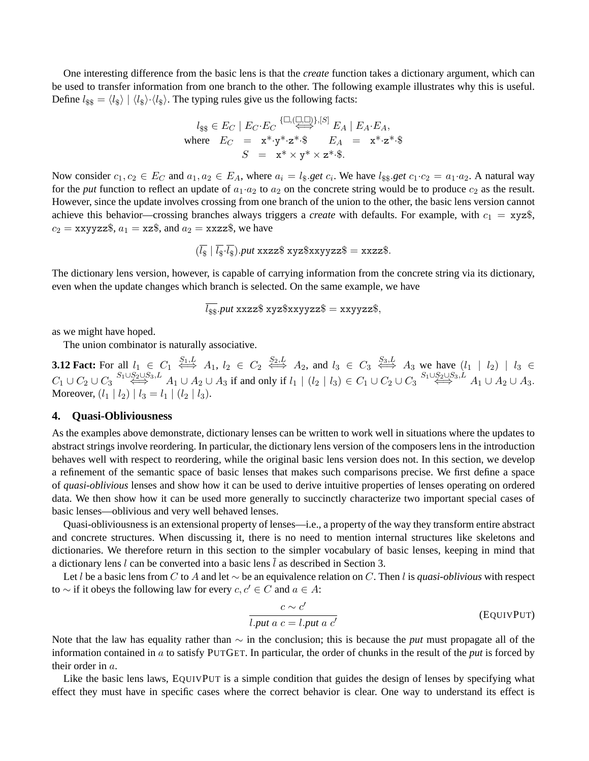One interesting difference from the basic lens is that the *create* function takes a dictionary argument, which can be used to transfer information from one branch to the other. The following example illustrates why this is useful. Define  $l_{\$}\ = \langle l_{\$}\rangle \ | \langle l_{\$}\rangle \cdot \langle l_{\$}\rangle$ . The typing rules give us the following facts:

$$
l_{\$$\in \text{EC} \mid E_C \cdot E_C$} \overset{\{\Box, (\Box, \Box)\}, [S]}{\iff} E_A \mid E_A \cdot E_A,
$$
\nwhere 
$$
E_C = \mathbf{x}^* \cdot \mathbf{y}^* \cdot \mathbf{z}^* \cdot \$ \qquad E_A = \mathbf{x}^* \cdot \mathbf{z}^* \cdot \$
$$
\n
$$
S = \mathbf{x}^* \times \mathbf{y}^* \times \mathbf{z}^* \cdot \$.
$$

Now consider  $c_1, c_2 \in E_C$  and  $a_1, a_2 \in E_A$ , where  $a_i = l_s.get$   $c_i$ . We have  $l_{ss}.get$   $c_1 \cdot c_2 = a_1 \cdot a_2$ . A natural way for the *put* function to reflect an update of  $a_1 \cdot a_2$  to  $a_2$  on the concrete string would be to produce  $c_2$  as the result. However, since the update involves crossing from one branch of the union to the other, the basic lens version cannot achieve this behavior—crossing branches always triggers a *create* with defaults. For example, with  $c_1 = xyz\$ ,  $c_2 = xxyyzz\$ ,  $a_1 = xz\$ , and  $a_2 = xxzz\$ , we have

$$
(\overline{l_{\$}} \mid \overline{l_{\$}} \cdot \overline{l_{\$}}).put x x z z \$ xyz \$ x xy y z z \$ = x x z z \$.
$$

The dictionary lens version, however, is capable of carrying information from the concrete string via its dictionary, even when the update changes which branch is selected. On the same example, we have

$$
l_{\$\$}.put \,\texttt{xzz2\$ xyz\$xxyyzz\$ = xxyyzz\$,
$$

as we might have hoped.

The union combinator is naturally associative.

**3.12 Fact:** For all  $l_1 \in C_1 \iff A_1, l_2 \in C_2 \iff A_2$ , and  $l_3 \in C_3 \iff A_3$  we have  $(l_1 \mid l_2) \mid l_3 \in C_3$  $C_1 \cup C_2 \cup C_3 \stackrel{S_1 \cup S_2 \cup S_3, L}{\iff} A_1 \cup A_2 \cup A_3$  if and only if  $l_1 \mid (l_2 \mid l_3) \in C_1 \cup C_2 \cup C_3 \stackrel{S_1 \cup S_2 \cup S_3, L}{\iff} A_1 \cup A_2 \cup A_3$ . Moreover,  $(l_1 | l_2) | l_3 = l_1 | (l_2 | l_3).$ 

# **4. Quasi-Obliviousness**

As the examples above demonstrate, dictionary lenses can be written to work well in situations where the updates to abstract strings involve reordering. In particular, the dictionary lens version of the composers lens in the introduction behaves well with respect to reordering, while the original basic lens version does not. In this section, we develop a refinement of the semantic space of basic lenses that makes such comparisons precise. We first define a space of *quasi-oblivious* lenses and show how it can be used to derive intuitive properties of lenses operating on ordered data. We then show how it can be used more generally to succinctly characterize two important special cases of basic lenses—oblivious and very well behaved lenses.

Quasi-obliviousness is an extensional property of lenses—i.e., a property of the way they transform entire abstract and concrete structures. When discussing it, there is no need to mention internal structures like skeletons and dictionaries. We therefore return in this section to the simpler vocabulary of basic lenses, keeping in mind that a dictionary lens l can be converted into a basic lens l as described in Section 3.

Let l be a basic lens from C to A and let ∼ be an equivalence relation on C. Then l is *quasi-oblivious* with respect to ∼ if it obeys the following law for every  $c, c' \in C$  and  $a \in A$ :

$$
\frac{c \sim c'}{l.put \, a \, c = l.put \, a \, c'}
$$
 (EQUIVPUT)

Note that the law has equality rather than ∼ in the conclusion; this is because the *put* must propagate all of the information contained in a to satisfy PUTGET. In particular, the order of chunks in the result of the *put* is forced by their order in a.

Like the basic lens laws, EQUIVPUT is a simple condition that guides the design of lenses by specifying what effect they must have in specific cases where the correct behavior is clear. One way to understand its effect is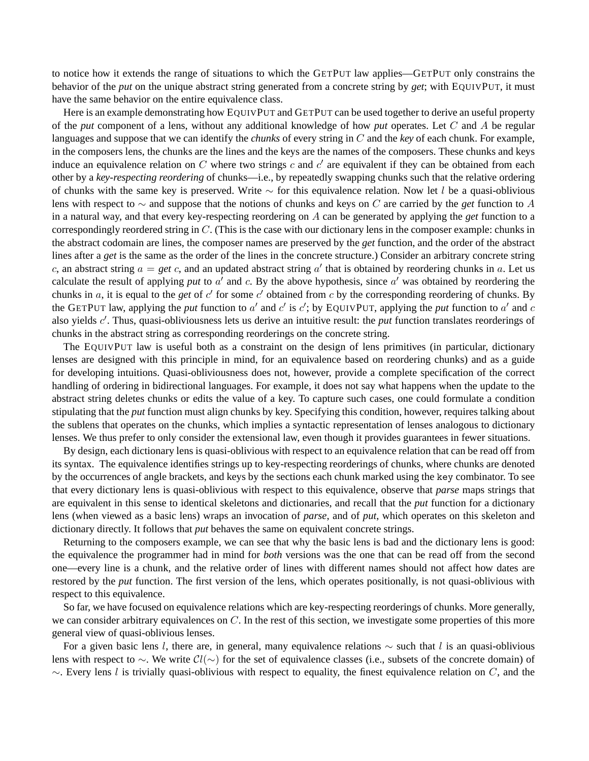to notice how it extends the range of situations to which the GETPUT law applies—GETPUT only constrains the behavior of the *put* on the unique abstract string generated from a concrete string by *get*; with EQUIVPUT, it must have the same behavior on the entire equivalence class.

Here is an example demonstrating how EQUIVPUT and GETPUT can be used together to derive an useful property of the *put* component of a lens, without any additional knowledge of how *put* operates. Let C and A be regular languages and suppose that we can identify the *chunks* of every string in C and the *key* of each chunk. For example, in the composers lens, the chunks are the lines and the keys are the names of the composers. These chunks and keys induce an equivalence relation on C where two strings c and  $c'$  are equivalent if they can be obtained from each other by a *key-respecting reordering* of chunks—i.e., by repeatedly swapping chunks such that the relative ordering of chunks with the same key is preserved. Write  $\sim$  for this equivalence relation. Now let l be a quasi-oblivious lens with respect to ∼ and suppose that the notions of chunks and keys on C are carried by the *get* function to A in a natural way, and that every key-respecting reordering on A can be generated by applying the *get* function to a correspondingly reordered string in C. (This is the case with our dictionary lens in the composer example: chunks in the abstract codomain are lines, the composer names are preserved by the *get* function, and the order of the abstract lines after a *get* is the same as the order of the lines in the concrete structure.) Consider an arbitrary concrete string  $c$ , an abstract string  $a = get c$ , and an updated abstract string  $a'$  that is obtained by reordering chunks in  $a$ . Let us calculate the result of applying *put* to  $a'$  and  $c$ . By the above hypothesis, since  $a'$  was obtained by reordering the chunks in  $a$ , it is equal to the *get* of  $c'$  for some  $c'$  obtained from  $c$  by the corresponding reordering of chunks. By the GETPUT law, applying the *put* function to a' and c' is c'; by EQUIVPUT, applying the *put* function to a' and c also yields c'. Thus, quasi-obliviousness lets us derive an intuitive result: the *put* function translates reorderings of chunks in the abstract string as corresponding reorderings on the concrete string.

The EQUIVPUT law is useful both as a constraint on the design of lens primitives (in particular, dictionary lenses are designed with this principle in mind, for an equivalence based on reordering chunks) and as a guide for developing intuitions. Quasi-obliviousness does not, however, provide a complete specification of the correct handling of ordering in bidirectional languages. For example, it does not say what happens when the update to the abstract string deletes chunks or edits the value of a key. To capture such cases, one could formulate a condition stipulating that the *put* function must align chunks by key. Specifying this condition, however, requires talking about the sublens that operates on the chunks, which implies a syntactic representation of lenses analogous to dictionary lenses. We thus prefer to only consider the extensional law, even though it provides guarantees in fewer situations.

By design, each dictionary lens is quasi-oblivious with respect to an equivalence relation that can be read off from its syntax. The equivalence identifies strings up to key-respecting reorderings of chunks, where chunks are denoted by the occurrences of angle brackets, and keys by the sections each chunk marked using the key combinator. To see that every dictionary lens is quasi-oblivious with respect to this equivalence, observe that *parse* maps strings that are equivalent in this sense to identical skeletons and dictionaries, and recall that the *put* function for a dictionary lens (when viewed as a basic lens) wraps an invocation of *parse*, and of *put*, which operates on this skeleton and dictionary directly. It follows that *put* behaves the same on equivalent concrete strings.

Returning to the composers example, we can see that why the basic lens is bad and the dictionary lens is good: the equivalence the programmer had in mind for *both* versions was the one that can be read off from the second one—every line is a chunk, and the relative order of lines with different names should not affect how dates are restored by the *put* function. The first version of the lens, which operates positionally, is not quasi-oblivious with respect to this equivalence.

So far, we have focused on equivalence relations which are key-respecting reorderings of chunks. More generally, we can consider arbitrary equivalences on  $C$ . In the rest of this section, we investigate some properties of this more general view of quasi-oblivious lenses.

For a given basic lens l, there are, in general, many equivalence relations  $\sim$  such that l is an quasi-oblivious lens with respect to  $\sim$ . We write  $Cl(\sim)$  for the set of equivalence classes (i.e., subsets of the concrete domain) of  $\sim$ . Every lens l is trivially quasi-oblivious with respect to equality, the finest equivalence relation on C, and the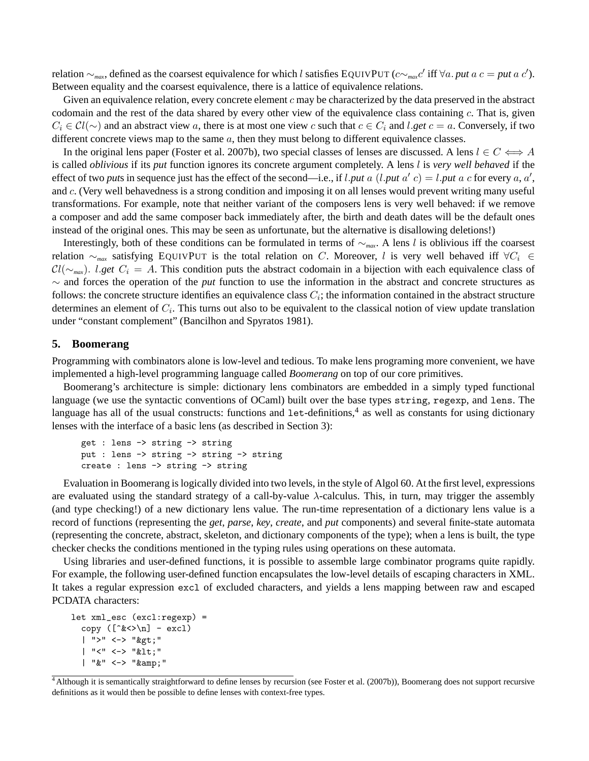relation ∼*max*, defined as the coarsest equivalence for which l satisfies EQUIVPUT (c∼*max*c ′ iff ∀a. *put* a c = *put* a c′ ). Between equality and the coarsest equivalence, there is a lattice of equivalence relations.

Given an equivalence relation, every concrete element  $c$  may be characterized by the data preserved in the abstract codomain and the rest of the data shared by every other view of the equivalence class containing  $c$ . That is, given  $C_i \in \mathcal{C}l(\sim)$  and an abstract view a, there is at most one view c such that  $c \in C_i$  and l.get  $c = a$ . Conversely, if two different concrete views map to the same a, then they must belong to different equivalence classes.

In the original lens paper (Foster et al. 2007b), two special classes of lenses are discussed. A lens  $l \in C \iff A$ is called *oblivious* if its *put* function ignores its concrete argument completely. A lens l is *very well behaved* if the effect of two *put*s in sequence just has the effect of the second—i.e., if *l.put*  $a$  (*l.put*  $a'$  *c*) = *l.put*  $a$  *c* for every  $a$ ,  $a'$ , and c. (Very well behavedness is a strong condition and imposing it on all lenses would prevent writing many useful transformations. For example, note that neither variant of the composers lens is very well behaved: if we remove a composer and add the same composer back immediately after, the birth and death dates will be the default ones instead of the original ones. This may be seen as unfortunate, but the alternative is disallowing deletions!)

Interestingly, both of these conditions can be formulated in terms of ∼*max*. A lens l is oblivious iff the coarsest relation ~<sub>*max*</sub> satisfying EQUIVPUT is the total relation on C. Moreover, l is very well behaved iff  $\forall C_i \in$  $Cl(\sim_{max})$ . l.get  $C_i = A$ . This condition puts the abstract codomain in a bijection with each equivalence class of ∼ and forces the operation of the *put* function to use the information in the abstract and concrete structures as follows: the concrete structure identifies an equivalence class  $C_i$ ; the information contained in the abstract structure determines an element of  $C_i$ . This turns out also to be equivalent to the classical notion of view update translation under "constant complement" (Bancilhon and Spyratos 1981).

#### **5. Boomerang**

Programming with combinators alone is low-level and tedious. To make lens programing more convenient, we have implemented a high-level programming language called *Boomerang* on top of our core primitives.

Boomerang's architecture is simple: dictionary lens combinators are embedded in a simply typed functional language (we use the syntactic conventions of OCaml) built over the base types string, regexp, and lens. The language has all of the usual constructs: functions and  $1$ et-definitions,<sup>4</sup> as well as constants for using dictionary lenses with the interface of a basic lens (as described in Section 3):

```
get : lens -> string -> string
put : lens -> string -> string -> string
create : lens -> string -> string
```
Evaluation in Boomerang is logically divided into two levels, in the style of Algol 60. At the first level, expressions are evaluated using the standard strategy of a call-by-value  $\lambda$ -calculus. This, in turn, may trigger the assembly (and type checking!) of a new dictionary lens value. The run-time representation of a dictionary lens value is a record of functions (representing the *get*, *parse*, *key*, *create*, and *put* components) and several finite-state automata (representing the concrete, abstract, skeleton, and dictionary components of the type); when a lens is built, the type checker checks the conditions mentioned in the typing rules using operations on these automata.

Using libraries and user-defined functions, it is possible to assemble large combinator programs quite rapidly. For example, the following user-defined function encapsulates the low-level details of escaping characters in XML. It takes a regular expression excl of excluded characters, and yields a lens mapping between raw and escaped PCDATA characters:

```
let xml_esc (excl:regexp) =
  copy ([^{\circ}\&\&\&\&\] - \text{excl})| ">" <-> "&gt;"
  | "<" <-> "&lt;"
  | "k" <-> "kamp:"
```
<sup>&</sup>lt;sup>4</sup> Although it is semantically straightforward to define lenses by recursion (see Foster et al. (2007b)), Boomerang does not support recursive definitions as it would then be possible to define lenses with context-free types.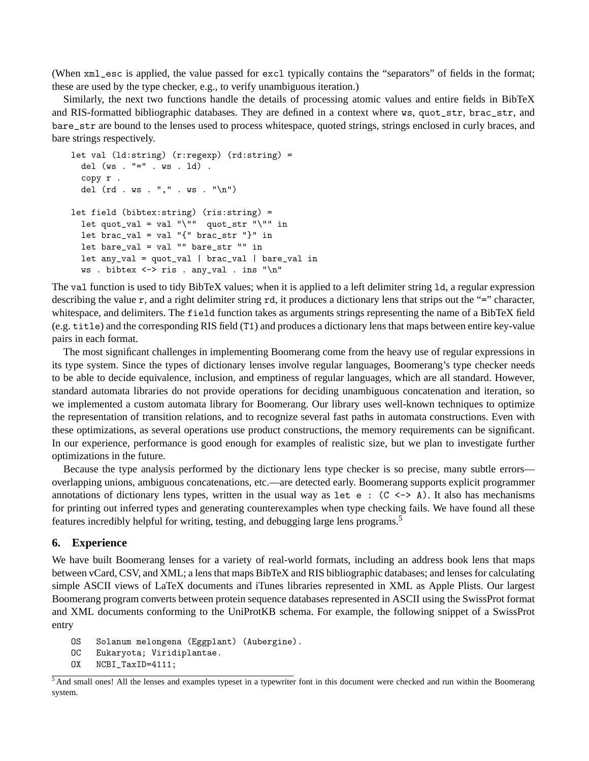(When xml\_esc is applied, the value passed for excl typically contains the "separators" of fields in the format; these are used by the type checker, e.g., to verify unambiguous iteration.)

Similarly, the next two functions handle the details of processing atomic values and entire fields in BibTeX and RIS-formatted bibliographic databases. They are defined in a context where ws, quot\_str, brac\_str, and bare\_str are bound to the lenses used to process whitespace, quoted strings, strings enclosed in curly braces, and bare strings respectively.

```
let val (ld:string) (r:regexp) (rd:string) =
 del (ws . "=" . ws . ld) .
 copy r .
 del (rd . ws . "," . ws . "\n")
let field (bibtex:string) (ris:string) =
 let quot_val = val "\"" quot_str "\"" in
 let brac_val = val "\{" brac_str "\}" in
 let bare_val = val "" bare_str "" in
 let any_val = quot_val | brac_val | bare_val in
 ws . bibtex <-> ris . any_val . ins "\n"
```
The val function is used to tidy BibTeX values; when it is applied to a left delimiter string ld, a regular expression describing the value r, and a right delimiter string rd, it produces a dictionary lens that strips out the "=" character, whitespace, and delimiters. The field function takes as arguments strings representing the name of a BibTeX field (e.g. title) and the corresponding RIS field (T1) and produces a dictionary lens that maps between entire key-value pairs in each format.

The most significant challenges in implementing Boomerang come from the heavy use of regular expressions in its type system. Since the types of dictionary lenses involve regular languages, Boomerang's type checker needs to be able to decide equivalence, inclusion, and emptiness of regular languages, which are all standard. However, standard automata libraries do not provide operations for deciding unambiguous concatenation and iteration, so we implemented a custom automata library for Boomerang. Our library uses well-known techniques to optimize the representation of transition relations, and to recognize several fast paths in automata constructions. Even with these optimizations, as several operations use product constructions, the memory requirements can be significant. In our experience, performance is good enough for examples of realistic size, but we plan to investigate further optimizations in the future.

Because the type analysis performed by the dictionary lens type checker is so precise, many subtle errors overlapping unions, ambiguous concatenations, etc.—are detected early. Boomerang supports explicit programmer annotations of dictionary lens types, written in the usual way as let e:  $(C \le -\ge A)$ . It also has mechanisms for printing out inferred types and generating counterexamples when type checking fails. We have found all these features incredibly helpful for writing, testing, and debugging large lens programs.<sup>5</sup>

# **6. Experience**

We have built Boomerang lenses for a variety of real-world formats, including an address book lens that maps between vCard, CSV, and XML; a lens that maps BibTeX and RIS bibliographic databases; and lenses for calculating simple ASCII views of LaTeX documents and iTunes libraries represented in XML as Apple Plists. Our largest Boomerang program converts between protein sequence databases represented in ASCII using the SwissProt format and XML documents conforming to the UniProtKB schema. For example, the following snippet of a SwissProt entry

```
OS Solanum melongena (Eggplant) (Aubergine).
```
- OC Eukaryota; Viridiplantae.
- OX NCBI\_TaxID=4111;

<sup>&</sup>lt;sup>5</sup> And small ones! All the lenses and examples typeset in a typewriter font in this document were checked and run within the Boomerang system.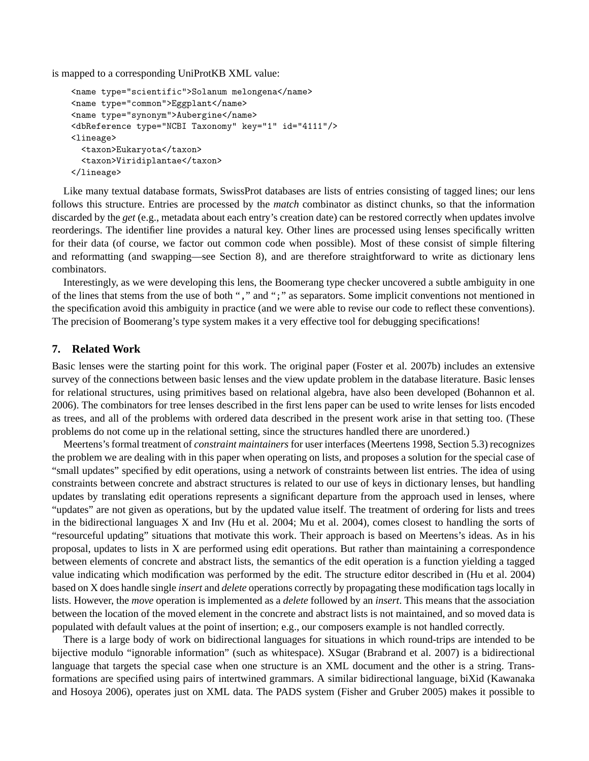is mapped to a corresponding UniProtKB XML value:

```
<name type="scientific">Solanum melongena</name>
<name type="common">Eggplant</name>
<name type="synonym">Aubergine</name>
<dbReference type="NCBI Taxonomy" key="1" id="4111"/>
<lineage>
  <taxon>Eukaryota</taxon>
  <taxon>Viridiplantae</taxon>
</lineage>
```
Like many textual database formats, SwissProt databases are lists of entries consisting of tagged lines; our lens follows this structure. Entries are processed by the *match* combinator as distinct chunks, so that the information discarded by the *get* (e.g., metadata about each entry's creation date) can be restored correctly when updates involve reorderings. The identifier line provides a natural key. Other lines are processed using lenses specifically written for their data (of course, we factor out common code when possible). Most of these consist of simple filtering and reformatting (and swapping—see Section 8), and are therefore straightforward to write as dictionary lens combinators.

Interestingly, as we were developing this lens, the Boomerang type checker uncovered a subtle ambiguity in one of the lines that stems from the use of both "," and ";" as separators. Some implicit conventions not mentioned in the specification avoid this ambiguity in practice (and we were able to revise our code to reflect these conventions). The precision of Boomerang's type system makes it a very effective tool for debugging specifications!

# **7. Related Work**

Basic lenses were the starting point for this work. The original paper (Foster et al. 2007b) includes an extensive survey of the connections between basic lenses and the view update problem in the database literature. Basic lenses for relational structures, using primitives based on relational algebra, have also been developed (Bohannon et al. 2006). The combinators for tree lenses described in the first lens paper can be used to write lenses for lists encoded as trees, and all of the problems with ordered data described in the present work arise in that setting too. (These problems do not come up in the relational setting, since the structures handled there are unordered.)

Meertens's formal treatment of *constraint maintainers* for user interfaces (Meertens 1998, Section 5.3) recognizes the problem we are dealing with in this paper when operating on lists, and proposes a solution for the special case of "small updates" specified by edit operations, using a network of constraints between list entries. The idea of using constraints between concrete and abstract structures is related to our use of keys in dictionary lenses, but handling updates by translating edit operations represents a significant departure from the approach used in lenses, where "updates" are not given as operations, but by the updated value itself. The treatment of ordering for lists and trees in the bidirectional languages X and Inv (Hu et al. 2004; Mu et al. 2004), comes closest to handling the sorts of "resourceful updating" situations that motivate this work. Their approach is based on Meertens's ideas. As in his proposal, updates to lists in X are performed using edit operations. But rather than maintaining a correspondence between elements of concrete and abstract lists, the semantics of the edit operation is a function yielding a tagged value indicating which modification was performed by the edit. The structure editor described in (Hu et al. 2004) based on X does handle single *insert* and *delete* operations correctly by propagating these modification tags locally in lists. However, the *move* operation is implemented as a *delete* followed by an *insert*. This means that the association between the location of the moved element in the concrete and abstract lists is not maintained, and so moved data is populated with default values at the point of insertion; e.g., our composers example is not handled correctly.

There is a large body of work on bidirectional languages for situations in which round-trips are intended to be bijective modulo "ignorable information" (such as whitespace). XSugar (Brabrand et al. 2007) is a bidirectional language that targets the special case when one structure is an XML document and the other is a string. Transformations are specified using pairs of intertwined grammars. A similar bidirectional language, biXid (Kawanaka and Hosoya 2006), operates just on XML data. The PADS system (Fisher and Gruber 2005) makes it possible to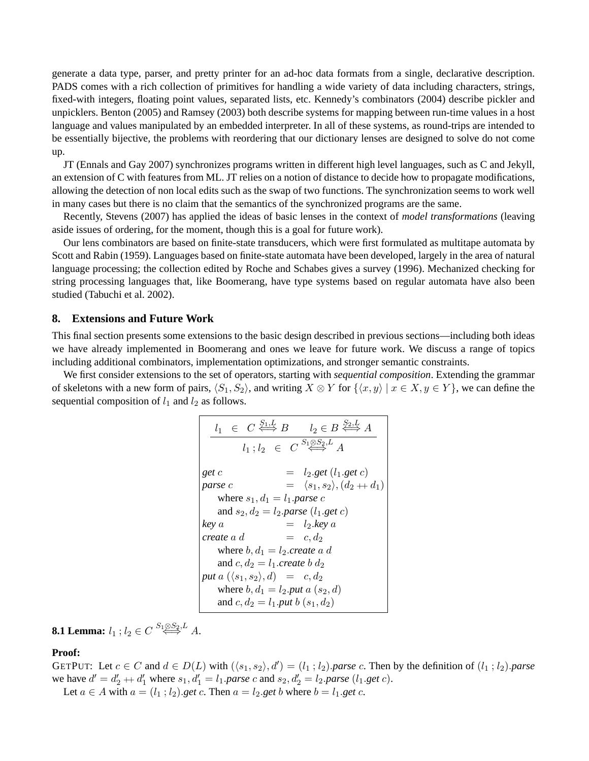generate a data type, parser, and pretty printer for an ad-hoc data formats from a single, declarative description. PADS comes with a rich collection of primitives for handling a wide variety of data including characters, strings, fixed-with integers, floating point values, separated lists, etc. Kennedy's combinators (2004) describe pickler and unpicklers. Benton (2005) and Ramsey (2003) both describe systems for mapping between run-time values in a host language and values manipulated by an embedded interpreter. In all of these systems, as round-trips are intended to be essentially bijective, the problems with reordering that our dictionary lenses are designed to solve do not come up.

JT (Ennals and Gay 2007) synchronizes programs written in different high level languages, such as C and Jekyll, an extension of C with features from ML. JT relies on a notion of distance to decide how to propagate modifications, allowing the detection of non local edits such as the swap of two functions. The synchronization seems to work well in many cases but there is no claim that the semantics of the synchronized programs are the same.

Recently, Stevens (2007) has applied the ideas of basic lenses in the context of *model transformations* (leaving aside issues of ordering, for the moment, though this is a goal for future work).

Our lens combinators are based on finite-state transducers, which were first formulated as multitape automata by Scott and Rabin (1959). Languages based on finite-state automata have been developed, largely in the area of natural language processing; the collection edited by Roche and Schabes gives a survey (1996). Mechanized checking for string processing languages that, like Boomerang, have type systems based on regular automata have also been studied (Tabuchi et al. 2002).

# **8. Extensions and Future Work**

This final section presents some extensions to the basic design described in previous sections—including both ideas we have already implemented in Boomerang and ones we leave for future work. We discuss a range of topics including additional combinators, implementation optimizations, and stronger semantic constraints.

We first consider extensions to the set of operators, starting with *sequential composition*. Extending the grammar of skeletons with a new form of pairs,  $\langle S_1, S_2 \rangle$ , and writing  $X \otimes Y$  for  $\{x, y \mid x \in X, y \in Y\}$ , we can define the sequential composition of  $l_1$  and  $l_2$  as follows.

$$
\begin{array}{rcl}\n\frac{l_1 & \in & C \stackrel{S_1, L}{\Longleftrightarrow} B & l_2 \in B \stackrel{S_2, L}{\Longleftrightarrow} A \\
\hline\n& l_1 \; ; l_2 & \in & C \stackrel{S_1 \otimes S_2, L}{\Longleftrightarrow} A \\
\text{get } c & = & l_2.get \; (l_1.get \; c) \\
\text{parse } c & = & \langle s_1, s_2 \rangle, (d_2 + d_1) \\
\text{where } s_1, d_1 = l_1 \text{ parse } c \\
\text{and } s_2, d_2 = l_2 \text{parse } (l_1.get \; c) \\
\text{key } a & = & l_2 \text{key } a \\
\text{create } a \; d & = & c, d_2 \\
\text{where } b, d_1 = l_2 \text{create } b \; d_2 \\
\text{put } a \; (\langle s_1, s_2 \rangle, d) & = & c, d_2 \\
\text{where } b, d_1 = l_2 \text{put } a \; (s_2, d) \\
\text{and } c, d_2 = l_1 \text{put } b \; (s_1, d_2)\n\end{array}
$$

**8.1 Lemma:**  $l_1$  ;  $l_2 \in C \stackrel{S_1 \otimes S_2, L}{\Longleftrightarrow} A$ .

# **Proof:**

GETPUT: Let  $c \in C$  and  $d \in D(L)$  with  $(\langle s_1, s_2 \rangle, d') = (l_1; l_2)$ . *parse* c. Then by the definition of  $(l_1; l_2)$ . *parse* we have  $d' = d'_2 + d'_1$  where  $s_1, d'_1 = l_1$  *parse c* and  $s_2, d'_2 = l_2$  *parse*  $(l_1, get$ *c*). Let  $a \in A$  with  $a = (l_1; l_2)$ *.get* c. Then  $a = l_2$ *.get* b where  $b = l_1$ *.get* c.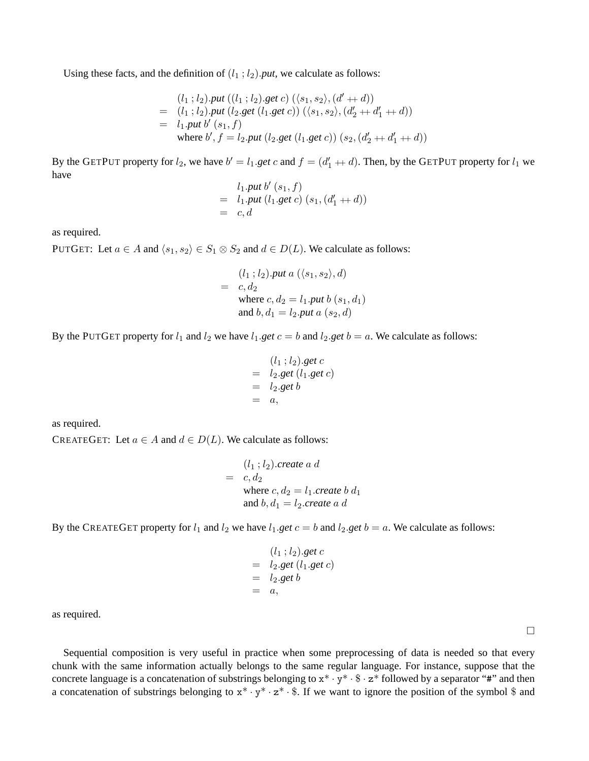Using these facts, and the definition of  $(l_1; l_2)$ .*put*, we calculate as follows:

$$
(l_1; l_2).put ((l_1; l_2).get c) (\langle s_1, s_2 \rangle, (d' + d))
$$
  
= (l\_1; l\_2).put (l\_2.get (l\_1.get c)) (\langle s\_1, s\_2 \rangle, (d'\_2 + d'\_1 + d))  
= l\_1.put b' (s\_1, f)  
where b', f = l\_2.put (l\_2.get (l\_1.get c)) (s\_2, (d'\_2 + d'\_1 + d))

By the GETPUT property for  $l_2$ , we have  $b' = l_1.get \, c$  and  $f = (d'_1 + d)$ . Then, by the GETPUT property for  $l_1$  we have

$$
l_1. put b' (s_1, f)
$$
  
=  $l_1. put (l_1. get c) (s_1, (d'_1 + d))$   
= c, d

as required.

PUTGET: Let  $a \in A$  and  $\langle s_1, s_2 \rangle \in S_1 \otimes S_2$  and  $d \in D(L)$ . We calculate as follows:

$$
\begin{aligned}\n(l_1; l_2) \cdot \text{put } a & (\langle s_1, s_2 \rangle, d) \\
&= c, d_2 \\
\text{where } c, d_2 &= l_1 \cdot \text{put } b & (s_1, d_1) \\
\text{and } b, d_1 &= l_2 \cdot \text{put } a & (s_2, d)\n\end{aligned}
$$

By the PUTGET property for  $l_1$  and  $l_2$  we have  $l_1.get$   $c = b$  and  $l_2.get$   $b = a$ . We calculate as follows:

$$
(l_1; l_2).get c
$$
  
=  $l_2.get (l_1.get c)$   
=  $l_2.get b$   
= a,

as required.

CREATEGET: Let  $a \in A$  and  $d \in D(L)$ . We calculate as follows:

$$
(l_1; l_2).create\ a\ d
$$
  
=\ c, d<sub>2</sub>  
where c, d<sub>2</sub> = l<sub>1</sub>.create\ b\ d<sub>1</sub>  
and b, d<sub>1</sub> = l<sub>2</sub>.create\ a\ d

By the CREATEGET property for  $l_1$  and  $l_2$  we have  $l_1.get$   $c = b$  and  $l_2.get$   $b = a$ . We calculate as follows:

$$
(l_1; l_2).get c
$$
  
=  $l_2.get (l_1.get c)$   
=  $l_2.get b$   
= a,

as required.

 $\Box$ 

Sequential composition is very useful in practice when some preprocessing of data is needed so that every chunk with the same information actually belongs to the same regular language. For instance, suppose that the concrete language is a concatenation of substrings belonging to  $x^* \cdot y^* \cdot \hat{y} \cdot z^*$  followed by a separator "#" and then a concatenation of substrings belonging to  $x^* \cdot y^* \cdot z^* \cdot$  \$. If we want to ignore the position of the symbol \$ and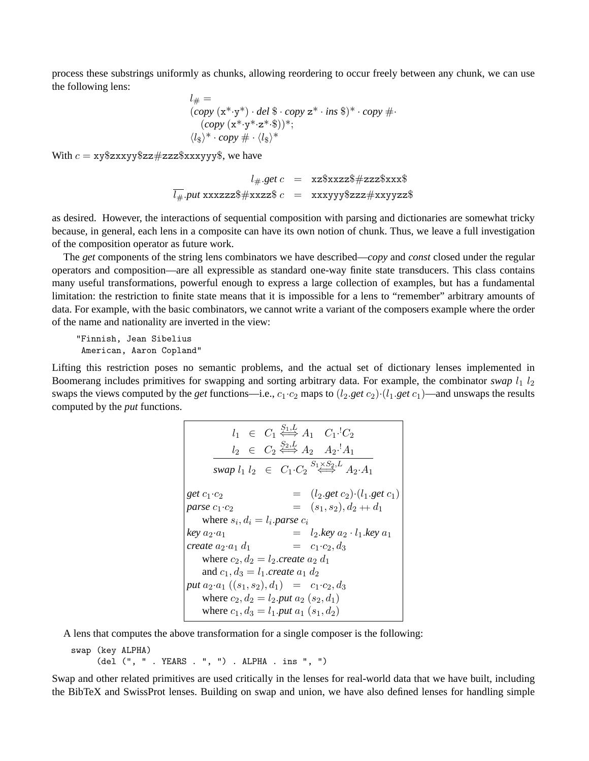process these substrings uniformly as chunks, allowing reordering to occur freely between any chunk, we can use the following lens:

$$
l_{\#} =
$$
  
(copy (x<sup>\*</sup>·y<sup>\*</sup>) · del \$ · copy z<sup>\*</sup> · ins \$)\* · copy # ·  
(copy (x<sup>\*</sup>·y<sup>\*</sup>·z<sup>\*</sup>·\$))<sup>\*</sup>;  

$$
\langle l_{\$} \rangle^* \cdot copy \# \cdot \langle l_{\$} \rangle^*
$$

With  $c = xy$zxxyy$zz#zzz$xxxyyy$, we have$ 

$$
l_{\#}.get\,c\quad=\quad xz\$xxzz\$\#zzz\$xxx\$\\ \overline{l_{\#}}.put\ xxxzzz\$\#xxzz\$\,c\quad=\quad xxxyyy\$zzz\#xxyyzz\$
$$

as desired. However, the interactions of sequential composition with parsing and dictionaries are somewhat tricky because, in general, each lens in a composite can have its own notion of chunk. Thus, we leave a full investigation of the composition operator as future work.

The *get* components of the string lens combinators we have described—*copy* and *const* closed under the regular operators and composition—are all expressible as standard one-way finite state transducers. This class contains many useful transformations, powerful enough to express a large collection of examples, but has a fundamental limitation: the restriction to finite state means that it is impossible for a lens to "remember" arbitrary amounts of data. For example, with the basic combinators, we cannot write a variant of the composers example where the order of the name and nationality are inverted in the view:

"Finnish, Jean Sibelius American, Aaron Copland"

Lifting this restriction poses no semantic problems, and the actual set of dictionary lenses implemented in Boomerang includes primitives for swapping and sorting arbitrary data. For example, the combinator *swap*  $l_1$   $l_2$ swaps the views computed by the *get* functions—i.e.,  $c_1 \cdot c_2$  maps to  $(l_2 \cdot get \, c_2) \cdot (l_1 \cdot get \, c_1)$ —and unswaps the results computed by the *put* functions.

$$
l_1 \in C_1 \overset{S_1,L}{\Longleftrightarrow} A_1 \quad C_1 \cdot {}^1C_2
$$
\n
$$
\frac{l_2 \in C_2 \overset{S_2,L}{\Longleftrightarrow} A_2 \quad A_2 \cdot {}^1A_1}{swap \ l_1 \ l_2 \in C_1 \cdot C_2 \overset{S_1 \times S_2,L}{\Longleftrightarrow} A_2 \cdot A_1}
$$
\n*get c*<sub>1</sub>·c<sub>2</sub> =  $(l_2.get c_2) \cdot (l_1.get c_1)$   
\n*parse c*<sub>1</sub>·c<sub>2</sub> =  $(s_1, s_2), d_2 + d_1$   
\n*where s<sub>i</sub>, d<sub>i</sub> = l<sub>i</sub> *parse c<sub>i</sub>*  
\n*key a*<sub>2</sub>·a<sub>1</sub> =  $l_2$ .*key a*<sub>2</sub>·l<sub>1</sub>.*key a*<sub>1</sub>  
\n*create a*<sub>2</sub>·a<sub>1</sub> d<sub>1</sub> =  $c_1$ ·c<sub>2</sub>, d<sub>3</sub>  
\n*where c*<sub>2</sub>, d<sub>2</sub> = l<sub>2</sub>.*create a*<sub>1</sub> d<sub>2</sub>  
\n*put a*<sub>2</sub>·a<sub>1</sub> ((s<sub>1</sub>, s<sub>2</sub>), d<sub>1</sub>) = c<sub>1</sub>·c<sub>2</sub>, d<sub>3</sub>  
\n*where c*<sub>2</sub>, d<sub>2</sub> = l<sub>2</sub>.*put a*<sub>2</sub> (s<sub>2</sub>, d<sub>1</sub>)  
\n*where c*<sub>1</sub>, d<sub>3</sub> = l<sub>1</sub>.*put a*<sub>1</sub> (s<sub>1</sub>, d<sub>2</sub>)*

A lens that computes the above transformation for a single composer is the following:

swap (key ALPHA) (del (", " . YEARS . ", ") . ALPHA . ins ", ")

Swap and other related primitives are used critically in the lenses for real-world data that we have built, including the BibTeX and SwissProt lenses. Building on swap and union, we have also defined lenses for handling simple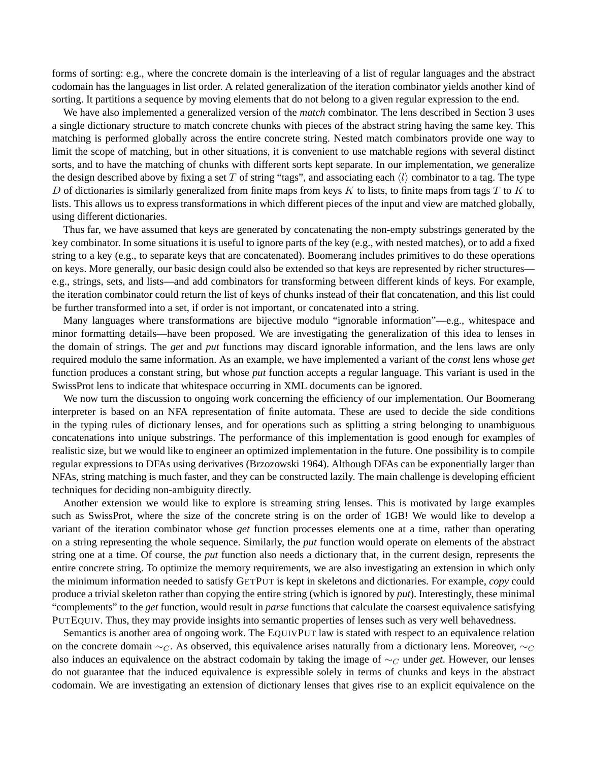forms of sorting: e.g., where the concrete domain is the interleaving of a list of regular languages and the abstract codomain has the languages in list order. A related generalization of the iteration combinator yields another kind of sorting. It partitions a sequence by moving elements that do not belong to a given regular expression to the end.

We have also implemented a generalized version of the *match* combinator. The lens described in Section 3 uses a single dictionary structure to match concrete chunks with pieces of the abstract string having the same key. This matching is performed globally across the entire concrete string. Nested match combinators provide one way to limit the scope of matching, but in other situations, it is convenient to use matchable regions with several distinct sorts, and to have the matching of chunks with different sorts kept separate. In our implementation, we generalize the design described above by fixing a set T of string "tags", and associating each  $\langle l \rangle$  combinator to a tag. The type D of dictionaries is similarly generalized from finite maps from keys K to lists, to finite maps from tags T to K to lists. This allows us to express transformations in which different pieces of the input and view are matched globally, using different dictionaries.

Thus far, we have assumed that keys are generated by concatenating the non-empty substrings generated by the key combinator. In some situations it is useful to ignore parts of the key (e.g., with nested matches), or to add a fixed string to a key (e.g., to separate keys that are concatenated). Boomerang includes primitives to do these operations on keys. More generally, our basic design could also be extended so that keys are represented by richer structures e.g., strings, sets, and lists—and add combinators for transforming between different kinds of keys. For example, the iteration combinator could return the list of keys of chunks instead of their flat concatenation, and this list could be further transformed into a set, if order is not important, or concatenated into a string.

Many languages where transformations are bijective modulo "ignorable information"—e.g., whitespace and minor formatting details—have been proposed. We are investigating the generalization of this idea to lenses in the domain of strings. The *get* and *put* functions may discard ignorable information, and the lens laws are only required modulo the same information. As an example, we have implemented a variant of the *const* lens whose *get* function produces a constant string, but whose *put* function accepts a regular language. This variant is used in the SwissProt lens to indicate that whitespace occurring in XML documents can be ignored.

We now turn the discussion to ongoing work concerning the efficiency of our implementation. Our Boomerang interpreter is based on an NFA representation of finite automata. These are used to decide the side conditions in the typing rules of dictionary lenses, and for operations such as splitting a string belonging to unambiguous concatenations into unique substrings. The performance of this implementation is good enough for examples of realistic size, but we would like to engineer an optimized implementation in the future. One possibility is to compile regular expressions to DFAs using derivatives (Brzozowski 1964). Although DFAs can be exponentially larger than NFAs, string matching is much faster, and they can be constructed lazily. The main challenge is developing efficient techniques for deciding non-ambiguity directly.

Another extension we would like to explore is streaming string lenses. This is motivated by large examples such as SwissProt, where the size of the concrete string is on the order of 1GB! We would like to develop a variant of the iteration combinator whose *get* function processes elements one at a time, rather than operating on a string representing the whole sequence. Similarly, the *put* function would operate on elements of the abstract string one at a time. Of course, the *put* function also needs a dictionary that, in the current design, represents the entire concrete string. To optimize the memory requirements, we are also investigating an extension in which only the minimum information needed to satisfy GETPUT is kept in skeletons and dictionaries. For example, *copy* could produce a trivial skeleton rather than copying the entire string (which is ignored by *put*). Interestingly, these minimal "complements" to the *get* function, would result in *parse* functions that calculate the coarsest equivalence satisfying PUTEQUIV. Thus, they may provide insights into semantic properties of lenses such as very well behavedness.

Semantics is another area of ongoing work. The EQUIVPUT law is stated with respect to an equivalence relation on the concrete domain  $∼<sub>C</sub>$ . As observed, this equivalence arises naturally from a dictionary lens. Moreover,  $∼<sub>C</sub>$ also induces an equivalence on the abstract codomain by taking the image of ∼<sub>C</sub> under *get*. However, our lenses do not guarantee that the induced equivalence is expressible solely in terms of chunks and keys in the abstract codomain. We are investigating an extension of dictionary lenses that gives rise to an explicit equivalence on the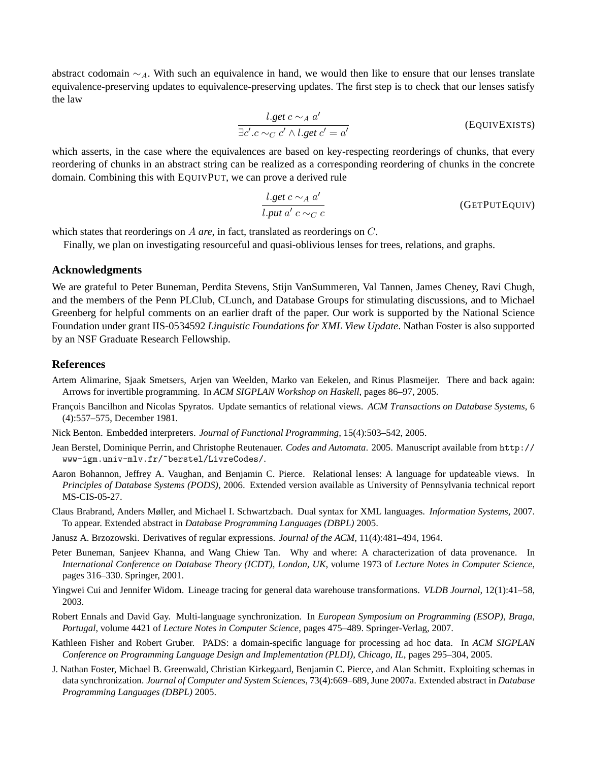abstract codomain  $~\sim_A$ . With such an equivalence in hand, we would then like to ensure that our lenses translate equivalence-preserving updates to equivalence-preserving updates. The first step is to check that our lenses satisfy the law

$$
\frac{l.get \ c \sim_A a'}{\exists c'. c \sim_C c' \land l.get \ c' = a'}
$$
 (EQUIVEXISTS)

which asserts, in the case where the equivalences are based on key-respecting reorderings of chunks, that every reordering of chunks in an abstract string can be realized as a corresponding reordering of chunks in the concrete domain. Combining this with EQUIVPUT, we can prove a derived rule

$$
\frac{l.get \ c \sim_A a'}{l.put a' \ c \sim_C c}
$$
 (GETPUTEQUIV)

which states that reorderings on A *are*, in fact, translated as reorderings on C.

Finally, we plan on investigating resourceful and quasi-oblivious lenses for trees, relations, and graphs.

# **Acknowledgments**

We are grateful to Peter Buneman, Perdita Stevens, Stijn VanSummeren, Val Tannen, James Cheney, Ravi Chugh, and the members of the Penn PLClub, CLunch, and Database Groups for stimulating discussions, and to Michael Greenberg for helpful comments on an earlier draft of the paper. Our work is supported by the National Science Foundation under grant IIS-0534592 *Linguistic Foundations for XML View Update*. Nathan Foster is also supported by an NSF Graduate Research Fellowship.

# **References**

- Artem Alimarine, Sjaak Smetsers, Arjen van Weelden, Marko van Eekelen, and Rinus Plasmeijer. There and back again: Arrows for invertible programming. In *ACM SIGPLAN Workshop on Haskell*, pages 86–97, 2005.
- Francois Bancilhon and Nicolas Spyratos. Update semantics of relational views. *ACM Transactions on Database Systems*, 6 (4):557–575, December 1981.
- Nick Benton. Embedded interpreters. *Journal of Functional Programming*, 15(4):503–542, 2005.
- Jean Berstel, Dominique Perrin, and Christophe Reutenauer. *Codes and Automata*. 2005. Manuscript available from http:// www-igm.univ-mlv.fr/~berstel/LivreCodes/.
- Aaron Bohannon, Jeffrey A. Vaughan, and Benjamin C. Pierce. Relational lenses: A language for updateable views. In *Principles of Database Systems (PODS)*, 2006. Extended version available as University of Pennsylvania technical report MS-CIS-05-27.
- Claus Brabrand, Anders Møller, and Michael I. Schwartzbach. Dual syntax for XML languages. *Information Systems*, 2007. To appear. Extended abstract in *Database Programming Languages (DBPL)* 2005.
- Janusz A. Brzozowski. Derivatives of regular expressions. *Journal of the ACM*, 11(4):481–494, 1964.
- Peter Buneman, Sanjeev Khanna, and Wang Chiew Tan. Why and where: A characterization of data provenance. In *International Conference on Database Theory (ICDT), London, UK*, volume 1973 of *Lecture Notes in Computer Science*, pages 316–330. Springer, 2001.
- Yingwei Cui and Jennifer Widom. Lineage tracing for general data warehouse transformations. *VLDB Journal*, 12(1):41–58, 2003.
- Robert Ennals and David Gay. Multi-language synchronization. In *European Symposium on Programming (ESOP), Braga, Portugal*, volume 4421 of *Lecture Notes in Computer Science*, pages 475–489. Springer-Verlag, 2007.
- Kathleen Fisher and Robert Gruber. PADS: a domain-specific language for processing ad hoc data. In *ACM SIGPLAN Conference on Programming Language Design and Implementation (PLDI), Chicago, IL*, pages 295–304, 2005.
- J. Nathan Foster, Michael B. Greenwald, Christian Kirkegaard, Benjamin C. Pierce, and Alan Schmitt. Exploiting schemas in data synchronization. *Journal of Computer and System Sciences*, 73(4):669–689, June 2007a. Extended abstract in *Database Programming Languages (DBPL)* 2005.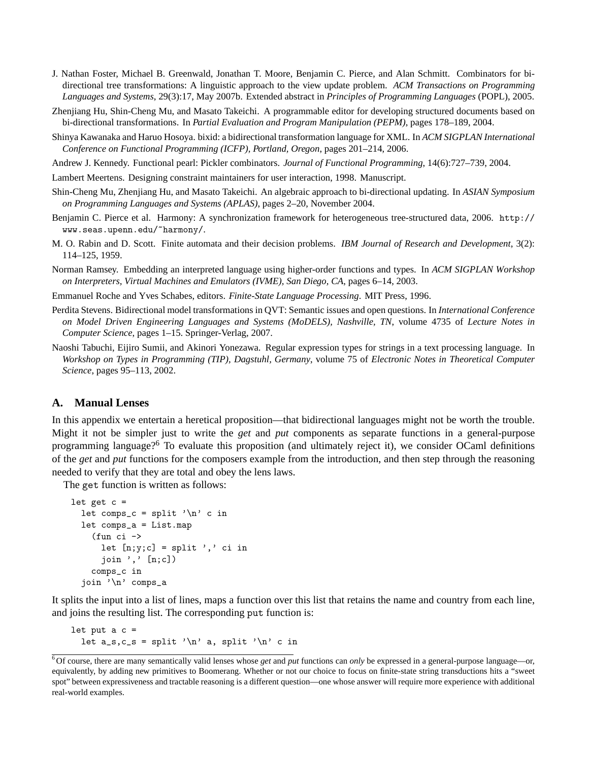- J. Nathan Foster, Michael B. Greenwald, Jonathan T. Moore, Benjamin C. Pierce, and Alan Schmitt. Combinators for bidirectional tree transformations: A linguistic approach to the view update problem. *ACM Transactions on Programming Languages and Systems*, 29(3):17, May 2007b. Extended abstract in *Principles of Programming Languages* (POPL), 2005.
- Zhenjiang Hu, Shin-Cheng Mu, and Masato Takeichi. A programmable editor for developing structured documents based on bi-directional transformations. In *Partial Evaluation and Program Manipulation (PEPM)*, pages 178–189, 2004.
- Shinya Kawanaka and Haruo Hosoya. bixid: a bidirectional transformation language for XML. In *ACM SIGPLAN International Conference on Functional Programming (ICFP), Portland, Oregon*, pages 201–214, 2006.
- Andrew J. Kennedy. Functional pearl: Pickler combinators. *Journal of Functional Programming*, 14(6):727–739, 2004.
- Lambert Meertens. Designing constraint maintainers for user interaction, 1998. Manuscript.
- Shin-Cheng Mu, Zhenjiang Hu, and Masato Takeichi. An algebraic approach to bi-directional updating. In *ASIAN Symposium on Programming Languages and Systems (APLAS)*, pages 2–20, November 2004.
- Benjamin C. Pierce et al. Harmony: A synchronization framework for heterogeneous tree-structured data, 2006. http:// www.seas.upenn.edu/~harmony/.
- M. O. Rabin and D. Scott. Finite automata and their decision problems. *IBM Journal of Research and Development*, 3(2): 114–125, 1959.
- Norman Ramsey. Embedding an interpreted language using higher-order functions and types. In *ACM SIGPLAN Workshop on Interpreters, Virtual Machines and Emulators (IVME), San Diego, CA*, pages 6–14, 2003.
- Emmanuel Roche and Yves Schabes, editors. *Finite-State Language Processing*. MIT Press, 1996.
- Perdita Stevens. Bidirectional model transformations in QVT: Semantic issues and open questions. In *International Conference on Model Driven Engineering Languages and Systems (MoDELS), Nashville, TN*, volume 4735 of *Lecture Notes in Computer Science*, pages 1–15. Springer-Verlag, 2007.
- Naoshi Tabuchi, Eijiro Sumii, and Akinori Yonezawa. Regular expression types for strings in a text processing language. In *Workshop on Types in Programming (TIP), Dagstuhl, Germany*, volume 75 of *Electronic Notes in Theoretical Computer Science*, pages 95–113, 2002.

#### **A. Manual Lenses**

In this appendix we entertain a heretical proposition—that bidirectional languages might not be worth the trouble. Might it not be simpler just to write the *get* and *put* components as separate functions in a general-purpose programming language?<sup>6</sup> To evaluate this proposition (and ultimately reject it), we consider OCaml definitions of the *get* and *put* functions for the composers example from the introduction, and then step through the reasoning needed to verify that they are total and obey the lens laws.

The get function is written as follows:

```
let get c =let comps_c = split '\n' c in
  let comps_a = List.map
    (fun ci \rightarrowlet [n; y; c] = \text{split} ',' ci in
      join ',' [n;c])
    comps_c in
  join '\n' comps_a
```
It splits the input into a list of lines, maps a function over this list that retains the name and country from each line, and joins the resulting list. The corresponding put function is:

```
let put a c =let a_s,c_s = split \n\in 'n' a, split \n'\in 'n' c in
```
<sup>6</sup> Of course, there are many semantically valid lenses whose *get* and *put* functions can *only* be expressed in a general-purpose language—or, equivalently, by adding new primitives to Boomerang. Whether or not our choice to focus on finite-state string transductions hits a "sweet spot" between expressiveness and tractable reasoning is a different question—one whose answer will require more experience with additional real-world examples.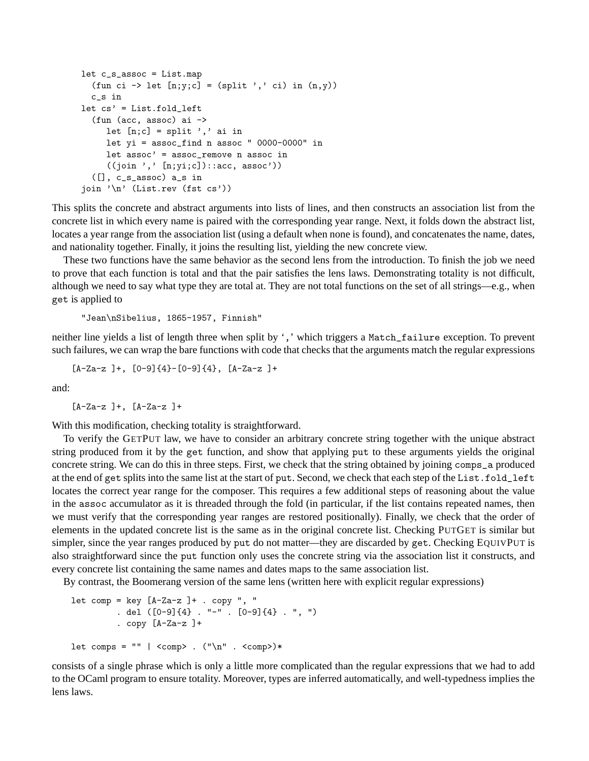```
let c_s_assoc = List.map
  (fun ci \rightarrow let [n; y; c] = (split ', ci) in (n, y))
  c_s in
let cs' = List.fold_left
  (fun (acc, assoc) ai ->
     let [n;c] = split ',' ai in
     let yi = assoc_find n assoc " 0000-0000" in
     let assoc' = assoc_remove n assoc in
     ((join ', ' [n; yi; c]):i, ac, assoc'))([], c_s_assoc) a_s in
join '\n' (List.rev (fst cs'))
```
This splits the concrete and abstract arguments into lists of lines, and then constructs an association list from the concrete list in which every name is paired with the corresponding year range. Next, it folds down the abstract list, locates a year range from the association list (using a default when none is found), and concatenates the name, dates, and nationality together. Finally, it joins the resulting list, yielding the new concrete view.

These two functions have the same behavior as the second lens from the introduction. To finish the job we need to prove that each function is total and that the pair satisfies the lens laws. Demonstrating totality is not difficult, although we need to say what type they are total at. They are not total functions on the set of all strings—e.g., when get is applied to

"Jean\nSibelius, 1865-1957, Finnish"

neither line yields a list of length three when split by ',' which triggers a Match\_failure exception. To prevent such failures, we can wrap the bare functions with code that checks that the arguments match the regular expressions

 $[A-Za-z]$ +,  $[0-9]{4}-[0-9]{4}$ ,  $[A-Za-z]$ +

and:

 $[A-Za-z] +$ ,  $[A-Za-z] +$ 

With this modification, checking totality is straightforward.

To verify the GETPUT law, we have to consider an arbitrary concrete string together with the unique abstract string produced from it by the get function, and show that applying put to these arguments yields the original concrete string. We can do this in three steps. First, we check that the string obtained by joining comps\_a produced at the end of get splits into the same list at the start of put. Second, we check that each step of the List.fold\_left locates the correct year range for the composer. This requires a few additional steps of reasoning about the value in the assoc accumulator as it is threaded through the fold (in particular, if the list contains repeated names, then we must verify that the corresponding year ranges are restored positionally). Finally, we check that the order of elements in the updated concrete list is the same as in the original concrete list. Checking PUTGET is similar but simpler, since the year ranges produced by put do not matter—they are discarded by get. Checking EQUIVPUT is also straightforward since the put function only uses the concrete string via the association list it constructs, and every concrete list containing the same names and dates maps to the same association list.

By contrast, the Boomerang version of the same lens (written here with explicit regular expressions)

```
let comp = key [A-Za-z] + . copy ", "
           . del ([0-9]\{4\}. "-" . [0-9]\{4\}. ". ")
           . copy [A-Za-z] +
let comps = "" | \langlecomp> . (\n\cdot\ n\cdot \langle \cdot \rangle)^*
```
consists of a single phrase which is only a little more complicated than the regular expressions that we had to add to the OCaml program to ensure totality. Moreover, types are inferred automatically, and well-typedness implies the lens laws.